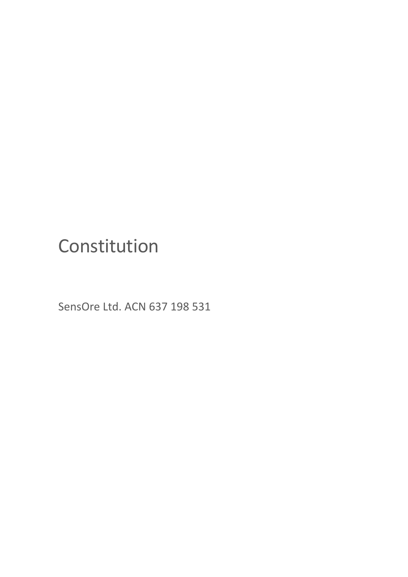# Constitution

SensOre Ltd. ACN 637 198 531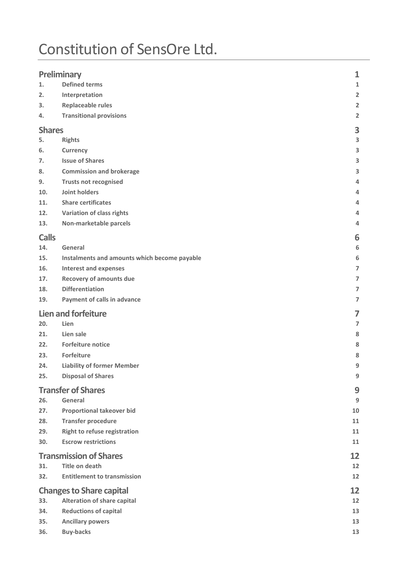## Constitution of SensOre Ltd.

| <b>Preliminary</b><br>$\mathbf{1}$    |                                              |                   |
|---------------------------------------|----------------------------------------------|-------------------|
| 1.                                    | <b>Defined terms</b>                         | 1                 |
| 2.                                    | Interpretation                               | $\overline{2}$    |
| 3.                                    | <b>Replaceable rules</b>                     | $\overline{2}$    |
| 4.                                    | <b>Transitional provisions</b>               | $\overline{2}$    |
| <b>Shares</b>                         |                                              | 3                 |
| 5.                                    | <b>Rights</b>                                | 3                 |
| 6.                                    | Currency                                     | 3                 |
| 7.                                    | <b>Issue of Shares</b>                       | 3                 |
| 8.                                    | <b>Commission and brokerage</b>              | 3                 |
| 9.                                    | <b>Trusts not recognised</b>                 | 4                 |
| 10.                                   | Joint holders                                | 4                 |
| 11.                                   | <b>Share certificates</b>                    | 4                 |
| 12.                                   | Variation of class rights                    | 4                 |
| 13.                                   | Non-marketable parcels                       | 4                 |
| <b>Calls</b>                          |                                              | 6                 |
| 14.                                   | General                                      | 6                 |
| 15.                                   | Instalments and amounts which become payable | 6                 |
| 16.                                   | <b>Interest and expenses</b>                 | $\overline{7}$    |
| 17.                                   | <b>Recovery of amounts due</b>               | $\overline{7}$    |
| 18.                                   | <b>Differentiation</b>                       | 7                 |
| 19.                                   | Payment of calls in advance                  | 7                 |
| <b>Lien and forfeiture</b>            |                                              | 7                 |
| 20.                                   | Lien                                         | $\overline{7}$    |
| 21.                                   | Lien sale                                    | 8                 |
| 22.                                   | <b>Forfeiture notice</b>                     | 8                 |
| 23.                                   | Forfeiture                                   | 8                 |
| 24.                                   | <b>Liability of former Member</b>            | 9                 |
| 25.                                   | <b>Disposal of Shares</b>                    | 9                 |
|                                       | <b>Transfer of Shares</b>                    | 9                 |
| 26.                                   | General                                      | $\boldsymbol{9}$  |
| 27.                                   | <b>Proportional takeover bid</b>             | 10                |
| 28.                                   | <b>Transfer procedure</b>                    | 11                |
| 29.                                   | <b>Right to refuse registration</b>          | 11                |
| 30.                                   | <b>Escrow restrictions</b>                   | 11                |
|                                       | <b>Transmission of Shares</b>                | 12                |
| 31.                                   | <b>Title on death</b>                        | 12                |
| 32.                                   | <b>Entitlement to transmission</b>           | 12                |
| <b>Changes to Share capital</b><br>12 |                                              |                   |
| 33.                                   | <b>Alteration of share capital</b>           | $12 \overline{ }$ |
| 34.                                   | <b>Reductions of capital</b>                 | 13                |
| 35.                                   | <b>Ancillary powers</b>                      | 13                |
| 36.                                   | <b>Buy-backs</b>                             | 13                |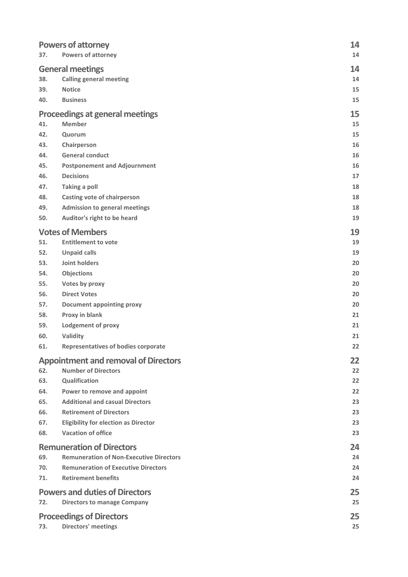| 37.                              | <b>Powers of attorney</b><br><b>Powers of attorney</b>                    | 14<br>14 |  |
|----------------------------------|---------------------------------------------------------------------------|----------|--|
| <b>General meetings</b>          |                                                                           |          |  |
| 38.                              | <b>Calling general meeting</b>                                            | 14       |  |
| 39.                              | <b>Notice</b>                                                             | 15       |  |
| 40.                              | <b>Business</b>                                                           | 15       |  |
|                                  | <b>Proceedings at general meetings</b>                                    | 15       |  |
| 41.                              | <b>Member</b>                                                             | 15<br>15 |  |
| 42.<br>43.                       | Quorum                                                                    | 16       |  |
| 44.                              | Chairperson<br><b>General conduct</b>                                     | 16       |  |
| 45.                              | <b>Postponement and Adjournment</b>                                       | 16       |  |
| 46.                              | <b>Decisions</b>                                                          | 17       |  |
| 47.                              | <b>Taking a poll</b>                                                      | 18       |  |
| 48.                              | <b>Casting vote of chairperson</b>                                        | 18       |  |
| 49.                              | <b>Admission to general meetings</b>                                      | 18       |  |
| 50.                              | Auditor's right to be heard                                               | 19       |  |
|                                  | <b>Votes of Members</b>                                                   | 19       |  |
| 51.                              | <b>Entitlement to vote</b>                                                | 19       |  |
| 52.                              | <b>Unpaid calls</b>                                                       | 19       |  |
| 53.                              | <b>Joint holders</b>                                                      | 20       |  |
| 54.                              | Objections                                                                | 20       |  |
| 55.                              | Votes by proxy                                                            | 20       |  |
| 56.                              | <b>Direct Votes</b>                                                       | 20       |  |
| 57.                              | <b>Document appointing proxy</b>                                          | 20       |  |
| 58.                              | Proxy in blank                                                            | 21       |  |
| 59.                              | <b>Lodgement of proxy</b>                                                 | 21       |  |
| 60.                              | Validity                                                                  | 21       |  |
| 61.                              | <b>Representatives of bodies corporate</b>                                | 22       |  |
| 62.                              | <b>Appointment and removal of Directors</b><br><b>Number of Directors</b> | 22<br>22 |  |
| 63.                              | Qualification                                                             | 22       |  |
| 64.                              | Power to remove and appoint                                               | 22       |  |
| 65.                              | <b>Additional and casual Directors</b>                                    | 23       |  |
| 66.                              | <b>Retirement of Directors</b>                                            | 23       |  |
| 67.                              | <b>Eligibility for election as Director</b>                               | 23       |  |
| 68.                              | <b>Vacation of office</b>                                                 | 23       |  |
| <b>Remuneration of Directors</b> |                                                                           | 24       |  |
| 69.                              | <b>Remuneration of Non-Executive Directors</b>                            | 24       |  |
| 70.                              | <b>Remuneration of Executive Directors</b>                                | 24       |  |
| 71.                              | <b>Retirement benefits</b>                                                | 24       |  |
|                                  | <b>Powers and duties of Directors</b>                                     |          |  |
| 72.                              | <b>Directors to manage Company</b>                                        | 25       |  |
|                                  | <b>Proceedings of Directors</b>                                           | 25       |  |
| 73.                              | Directors' meetings                                                       | 25       |  |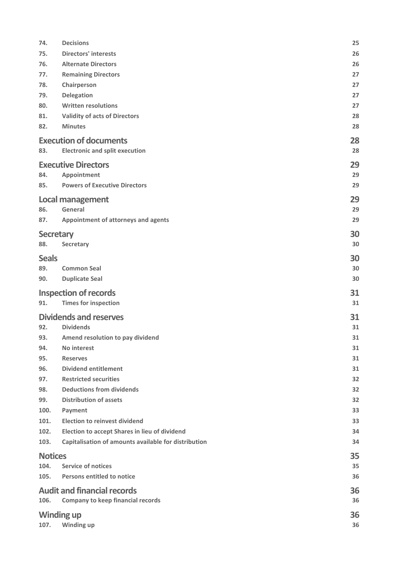| 74.            | <b>Decisions</b>                                            | 25       |
|----------------|-------------------------------------------------------------|----------|
| 75.            | <b>Directors' interests</b>                                 | 26       |
| 76.            | <b>Alternate Directors</b>                                  | 26       |
| 77.            | <b>Remaining Directors</b>                                  | 27       |
| 78.            | Chairperson                                                 | 27       |
| 79.            | Delegation                                                  | 27       |
| 80.            | <b>Written resolutions</b>                                  | 27       |
| 81.            | <b>Validity of acts of Directors</b>                        | 28       |
| 82.            | <b>Minutes</b>                                              | 28       |
|                | <b>Execution of documents</b>                               | 28       |
| 83.            | <b>Electronic and split execution</b>                       | 28       |
|                |                                                             |          |
|                | <b>Executive Directors</b>                                  | 29       |
| 84.            | Appointment                                                 | 29       |
| 85.            | <b>Powers of Executive Directors</b>                        | 29       |
|                | <b>Local management</b>                                     | 29       |
| 86.            | General                                                     | 29       |
| 87.            | Appointment of attorneys and agents                         | 29       |
|                | <b>Secretary</b>                                            | 30       |
| 88.            | Secretary                                                   | 30       |
| <b>Seals</b>   |                                                             | 30       |
| 89.            | <b>Common Seal</b>                                          | 30       |
| 90.            | <b>Duplicate Seal</b>                                       | 30       |
|                |                                                             |          |
| 91.            | <b>Inspection of records</b><br><b>Times for inspection</b> | 31<br>31 |
|                |                                                             |          |
|                | <b>Dividends and reserves</b>                               | 31       |
| 92.            | <b>Dividends</b>                                            | 31       |
| 93.            | Amend resolution to pay dividend                            | 31       |
| 94.            | No interest                                                 | 31       |
| 95.            | <b>Reserves</b>                                             | 31       |
| 96.            | <b>Dividend entitlement</b>                                 | 31       |
| 97.            | <b>Restricted securities</b>                                | 32       |
| 98.            | <b>Deductions from dividends</b>                            | 32       |
| 99.            | <b>Distribution of assets</b>                               | 32       |
| 100.           | Payment                                                     | 33       |
| 101.           | <b>Election to reinvest dividend</b>                        | 33       |
| 102.           | Election to accept Shares in lieu of dividend               | 34       |
| 103.           | Capitalisation of amounts available for distribution        | 34       |
| <b>Notices</b> |                                                             | 35       |
| 104.           | <b>Service of notices</b>                                   | 35       |
| 105.           | <b>Persons entitled to notice</b>                           | 36       |
|                | <b>Audit and financial records</b>                          | 36       |
| 106.           | <b>Company to keep financial records</b>                    | 36       |
|                |                                                             |          |
| 107.           | <b>Winding up</b><br>Winding up                             | 36<br>36 |
|                |                                                             |          |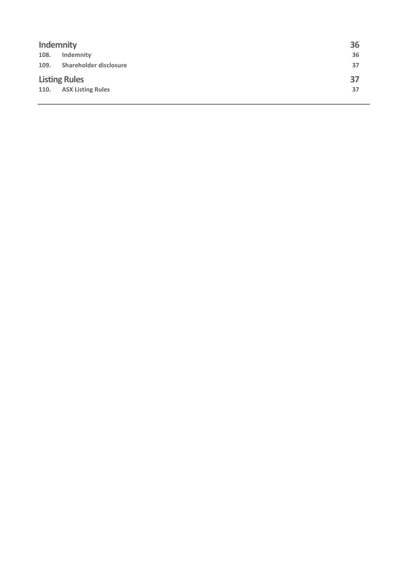| <b>Indemnity</b>     |                          | 36 |
|----------------------|--------------------------|----|
| 108.                 | Indemnity                | 36 |
| 109.                 | Shareholder disclosure   | 37 |
| <b>Listing Rules</b> |                          | 37 |
| 110.                 | <b>ASX Listing Rules</b> | 37 |
|                      |                          |    |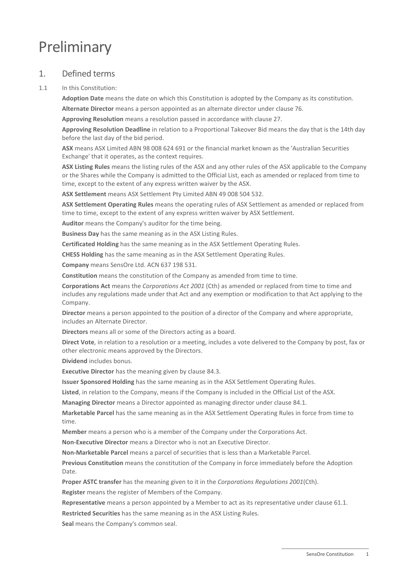## Preliminary

## 1. Defined terms

1.1 In this Constitution:

**Adoption Date** means the date on which this Constitution is adopted by the Company as its constitution.

**Alternate Director** means a person appointed as an alternate director under clause [76.](#page-30-0)

**Approving Resolution** means a resolution passed in accordance with clause [27.](#page-14-0)

**Approving Resolution Deadline** in relation to a Proportional Takeover Bid means the day that is the 14th day before the last day of the bid period.

**ASX** means ASX Limited ABN 98 008 624 691 or the financial market known as the 'Australian Securities Exchange' that it operates, as the context requires.

**ASX Listing Rules** means the listing rules of the ASX and any other rules of the ASX applicable to the Company or the Shares while the Company is admitted to the Official List, each as amended or replaced from time to time, except to the extent of any express written waiver by the ASX.

**ASX Settlement** means ASX Settlement Pty Limited ABN 49 008 504 532.

**ASX Settlement Operating Rules** means the operating rules of ASX Settlement as amended or replaced from time to time, except to the extent of any express written waiver by ASX Settlement.

**Auditor** means the Company's auditor for the time being.

**Business Day** has the same meaning as in the ASX Listing Rules.

**Certificated Holding** has the same meaning as in the ASX Settlement Operating Rules.

**CHESS Holding** has the same meaning as in the ASX Settlement Operating Rules.

**Company** means SensOre Ltd. ACN 637 198 531.

**Constitution** means the constitution of the Company as amended from time to time.

**Corporations Act** means the *Corporations Act 2001* (Cth) as amended or replaced from time to time and includes any regulations made under that Act and any exemption or modification to that Act applying to the Company.

**Director** means a person appointed to the position of a director of the Company and where appropriate, includes an Alternate Director.

**Directors** means all or some of the Directors acting as a board.

**Direct Vote**, in relation to a resolution or a meeting, includes a vote delivered to the Company by post, fax or other electronic means approved by the Directors.

**Dividend** includes bonus.

**Executive Director** has the meaning given by clause [84.3.](#page-33-0)

**Issuer Sponsored Holding** has the same meaning as in the ASX Settlement Operating Rules.

**Listed**, in relation to the Company, means if the Company is included in the Official List of the ASX.

**Managing Director** means a Director appointed as managing director under clause [84.1.](#page-33-1)

**Marketable Parcel** has the same meaning as in the ASX Settlement Operating Rules in force from time to time.

**Member** means a person who is a member of the Company under the Corporations Act.

**Non-Executive Director** means a Director who is not an Executive Director.

**Non-Marketable Parcel** means a parcel of securities that is less than a Marketable Parcel.

**Previous Constitution** means the constitution of the Company in force immediately before the Adoption Date.

**Proper ASTC transfer** has the meaning given to it in the *Corporations Regulations 2001*(Cth).

**Register** means the register of Members of the Company.

**Representative** means a person appointed by a Member to act as its representative under clause [61.1.](#page-26-0)

**Restricted Securities** has the same meaning as in the ASX Listing Rules.

**Seal** means the Company's common seal.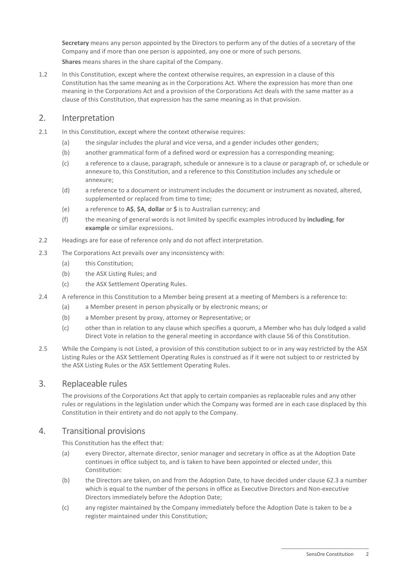**Secretary** means any person appointed by the Directors to perform any of the duties of a secretary of the Company and if more than one person is appointed, any one or more of such persons. **Shares** means shares in the share capital of the Company.

1.2 In this Constitution, except where the context otherwise requires, an expression in a clause of this Constitution has the same meaning as in the Corporations Act. Where the expression has more than one meaning in the Corporations Act and a provision of the Corporations Act deals with the same matter as a clause of this Constitution, that expression has the same meaning as in that provision.

## 2. Interpretation

- 2.1 In this Constitution, except where the context otherwise requires:
	- (a) the singular includes the plural and vice versa, and a gender includes other genders;
	- (b) another grammatical form of a defined word or expression has a corresponding meaning;
	- (c) a reference to a clause, paragraph, schedule or annexure is to a clause or paragraph of, or schedule or annexure to, this Constitution, and a reference to this Constitution includes any schedule or annexure;
	- (d) a reference to a document or instrument includes the document or instrument as novated, altered, supplemented or replaced from time to time;
	- (e) a reference to **A\$**, **\$A**, **dollar** or **\$** is to Australian currency; and
	- (f) the meaning of general words is not limited by specific examples introduced by **including**, **for example** or similar expressions.
- 2.2 Headings are for ease of reference only and do not affect interpretation.
- 2.3 The Corporations Act prevails over any inconsistency with:
	- (a) this Constitution;
	- (b) the ASX Listing Rules; and
	- (c) the ASX Settlement Operating Rules.
- 2.4 A reference in this Constitution to a Member being present at a meeting of Members is a reference to:
	- (a) a Member present in person physically or by electronic means; or
	- (b) a Member present by proxy, attorney or Representative; or
	- (c) other than in relation to any clause which specifies a quorum, a Member who has duly lodged a valid Direct Vote in relation to the general meeting in accordance with claus[e 56](#page-24-0) of this Constitution.
- 2.5 While the Company is not Listed, a provision of this constitution subject to or in any way restricted by the ASX Listing Rules or the ASX Settlement Operating Rules is construed as if it were not subject to or restricted by the ASX Listing Rules or the ASX Settlement Operating Rules.

#### 3. Replaceable rules

The provisions of the Corporations Act that apply to certain companies as replaceable rules and any other rules or regulations in the legislation under which the Company was formed are in each case displaced by this Constitution in their entirety and do not apply to the Company.

#### 4. Transitional provisions

This Constitution has the effect that:

- (a) every Director, alternate director, senior manager and secretary in office as at the Adoption Date continues in office subject to, and is taken to have been appointed or elected under, this Constitution:
- (b) the Directors are taken, on and from the Adoption Date, to have decided under clause [62.3](#page-26-1) a number which is equal to the number of the persons in office as Executive Directors and Non-executive Directors immediately before the Adoption Date;
- (c) any register maintained by the Company immediately before the Adoption Date is taken to be a register maintained under this Constitution;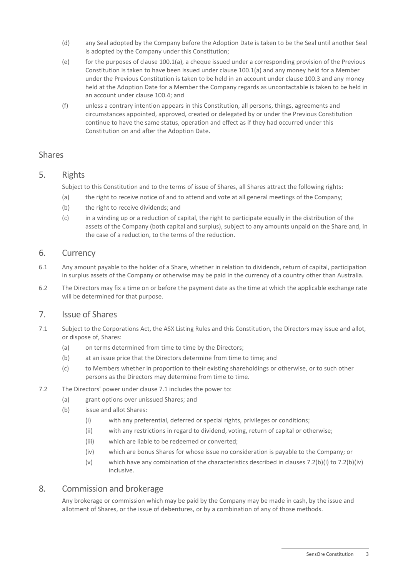- (d) any Seal adopted by the Company before the Adoption Date is taken to be the Seal until another Seal is adopted by the Company under this Constitution;
- (e) for the purposes of claus[e 100.1\(a\),](#page-37-0) a cheque issued under a corresponding provision of the Previous Constitution is taken to have been issued under claus[e 100.1\(a\)](#page-37-0) and any money held for a Member under the Previous Constitution is taken to be held in an account under claus[e 100.3](#page-37-1) and any money held at the Adoption Date for a Member the Company regards as uncontactable is taken to be held in an account under clause [100.4;](#page-37-2) and
- (f) unless a contrary intention appears in this Constitution, all persons, things, agreements and circumstances appointed, approved, created or delegated by or under the Previous Constitution continue to have the same status, operation and effect as if they had occurred under this Constitution on and after the Adoption Date.

## Shares

5. Rights

Subject to this Constitution and to the terms of issue of Shares, all Shares attract the following rights:

- (a) the right to receive notice of and to attend and vote at all general meetings of the Company;
- (b) the right to receive dividends; and
- (c) in a winding up or a reduction of capital, the right to participate equally in the distribution of the assets of the Company (both capital and surplus), subject to any amounts unpaid on the Share and, in the case of a reduction, to the terms of the reduction.

## 6. Currency

- 6.1 Any amount payable to the holder of a Share, whether in relation to dividends, return of capital, participation in surplus assets of the Company or otherwise may be paid in the currency of a country other than Australia.
- 6.2 The Directors may fix a time on or before the payment date as the time at which the applicable exchange rate will be determined for that purpose.

## 7. Issue of Shares

- <span id="page-7-0"></span>7.1 Subject to the Corporations Act, the ASX Listing Rules and this Constitution, the Directors may issue and allot, or dispose of, Shares:
	- (a) on terms determined from time to time by the Directors;
	- (b) at an issue price that the Directors determine from time to time; and
	- (c) to Members whether in proportion to their existing shareholdings or otherwise, or to such other persons as the Directors may determine from time to time.
- <span id="page-7-1"></span>7.2 The Directors' power under clause [7.1](#page-7-0) includes the power to:
	- (a) grant options over unissued Shares; and
	- (b) issue and allot Shares:
		- (i) with any preferential, deferred or special rights, privileges or conditions;
		- (ii) with any restrictions in regard to dividend, voting, return of capital or otherwise;
		- (iii) which are liable to be redeemed or converted;
		- (iv) which are bonus Shares for whose issue no consideration is payable to the Company; or
		- (v) which have any combination of the characteristics described in clauses [7.2\(b\)\(i\)](#page-7-1) to [7.2\(b\)\(iv\)](#page-7-2) inclusive.

## <span id="page-7-2"></span>8. Commission and brokerage

Any brokerage or commission which may be paid by the Company may be made in cash, by the issue and allotment of Shares, or the issue of debentures, or by a combination of any of those methods.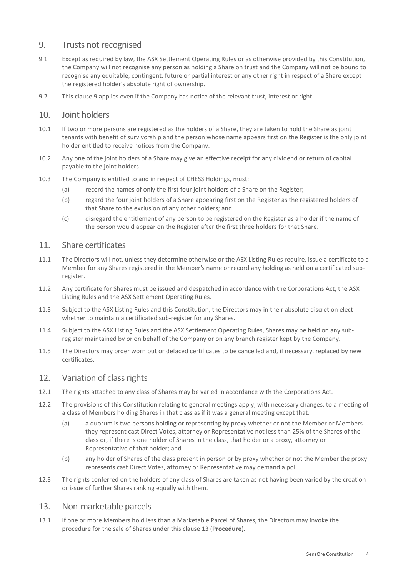## <span id="page-8-0"></span>9. Trusts not recognised

- 9.1 Except as required by law, the ASX Settlement Operating Rules or as otherwise provided by this Constitution, the Company will not recognise any person as holding a Share on trust and the Company will not be bound to recognise any equitable, contingent, future or partial interest or any other right in respect of a Share except the registered holder's absolute right of ownership.
- 9.2 This clause [9](#page-8-0) applies even if the Company has notice of the relevant trust, interest or right.

#### 10. Joint holders

- 10.1 If two or more persons are registered as the holders of a Share, they are taken to hold the Share as joint tenants with benefit of survivorship and the person whose name appears first on the Register is the only joint holder entitled to receive notices from the Company.
- 10.2 Any one of the joint holders of a Share may give an effective receipt for any dividend or return of capital payable to the joint holders.
- 10.3 The Company is entitled to and in respect of CHESS Holdings, must:
	- (a) record the names of only the first four joint holders of a Share on the Register;
	- (b) regard the four joint holders of a Share appearing first on the Register as the registered holders of that Share to the exclusion of any other holders; and
	- (c) disregard the entitlement of any person to be registered on the Register as a holder if the name of the person would appear on the Register after the first three holders for that Share.

#### 11. Share certificates

- 11.1 The Directors will not, unless they determine otherwise or the ASX Listing Rules require, issue a certificate to a Member for any Shares registered in the Member's name or record any holding as held on a certificated subregister.
- 11.2 Any certificate for Shares must be issued and despatched in accordance with the Corporations Act, the ASX Listing Rules and the ASX Settlement Operating Rules.
- 11.3 Subject to the ASX Listing Rules and this Constitution, the Directors may in their absolute discretion elect whether to maintain a certificated sub-register for any Shares.
- 11.4 Subject to the ASX Listing Rules and the ASX Settlement Operating Rules, Shares may be held on any subregister maintained by or on behalf of the Company or on any branch register kept by the Company.
- 11.5 The Directors may order worn out or defaced certificates to be cancelled and, if necessary, replaced by new certificates.

## 12. Variation of class rights

- 12.1 The rights attached to any class of Shares may be varied in accordance with the Corporations Act.
- 12.2 The provisions of this Constitution relating to general meetings apply, with necessary changes, to a meeting of a class of Members holding Shares in that class as if it was a general meeting except that:
	- (a) a quorum is two persons holding or representing by proxy whether or not the Member or Members they represent cast Direct Votes, attorney or Representative not less than 25% of the Shares of the class or, if there is one holder of Shares in the class, that holder or a proxy, attorney or Representative of that holder; and
	- (b) any holder of Shares of the class present in person or by proxy whether or not the Member the proxy represents cast Direct Votes, attorney or Representative may demand a poll.
- 12.3 The rights conferred on the holders of any class of Shares are taken as not having been varied by the creation or issue of further Shares ranking equally with them.

#### <span id="page-8-1"></span>13. Non-marketable parcels

13.1 If one or more Members hold less than a Marketable Parcel of Shares, the Directors may invoke the procedure for the sale of Shares under this clause [13](#page-8-1) (**Procedure**).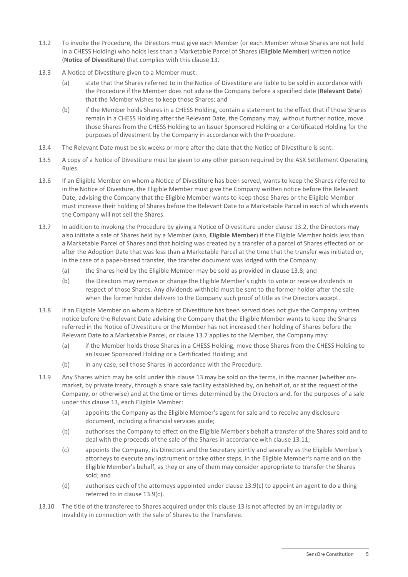- <span id="page-9-0"></span>13.2 To invoke the Procedure, the Directors must give each Member (or each Member whose Shares are not held in a CHESS Holding) who holds less than a Marketable Parcel of Shares (**Eligible Member**) written notice (**Notice of Divestiture**) that complies with this clause [13.](#page-8-1)
- 13.3 A Notice of Divestiture given to a Member must:
	- (a) state that the Shares referred to in the Notice of Divestiture are liable to be sold in accordance with the Procedure if the Member does not advise the Company before a specified date (**Relevant Date**) that the Member wishes to keep those Shares; and
	- (b) if the Member holds Shares in a CHESS Holding, contain a statement to the effect that if those Shares remain in a CHESS Holding after the Relevant Date, the Company may, without further notice, move those Shares from the CHESS Holding to an Issuer Sponsored Holding or a Certificated Holding for the purposes of divestment by the Company in accordance with the Procedure.
- 13.4 The Relevant Date must be six weeks or more after the date that the Notice of Divestiture is sent.
- 13.5 A copy of a Notice of Divestiture must be given to any other person required by the ASX Settlement Operating Rules.
- 13.6 If an Eligible Member on whom a Notice of Divestiture has been served, wants to keep the Shares referred to in the Notice of Divesture, the Eligible Member must give the Company written notice before the Relevant Date, advising the Company that the Eligible Member wants to keep those Shares or the Eligible Member must increase their holding of Shares before the Relevant Date to a Marketable Parcel in each of which events the Company will not sell the Shares.
- <span id="page-9-2"></span>13.7 In addition to invoking the Procedure by giving a Notice of Divestiture under clause [13.2,](#page-9-0) the Directors may also initiate a sale of Shares held by a Member (also, **Eligible Member**) if the Eligible Member holds less than a Marketable Parcel of Shares and that holding was created by a transfer of a parcel of Shares effected on or after the Adoption Date that was less than a Marketable Parcel at the time that the transfer was initiated or, in the case of a paper-based transfer, the transfer document was lodged with the Company:
	- (a) the Shares held by the Eligible Member may be sold as provided in claus[e 13.8;](#page-9-1) and
	- (b) the Directors may remove or change the Eligible Member's rights to vote or receive dividends in respect of those Shares. Any dividends withheld must be sent to the former holder after the sale when the former holder delivers to the Company such proof of title as the Directors accept.
- <span id="page-9-1"></span>13.8 If an Eligible Member on whom a Notice of Divestiture has been served does not give the Company written notice before the Relevant Date advising the Company that the Eligible Member wants to keep the Shares referred in the Notice of Divestiture or the Member has not increased their holding of Shares before the Relevant Date to a Marketable Parcel, or claus[e 13.7](#page-9-2) applies to the Member, the Company may:
	- (a) if the Member holds those Shares in a CHESS Holding, move those Shares from the CHESS Holding to an Issuer Sponsored Holding or a Certificated Holding; and
	- (b) in any case, sell those Shares in accordance with the Procedure.
- 13.9 Any Shares which may be sold under this clause [13](#page-8-1) may be sold on the terms, in the manner (whether onmarket, by private treaty, through a share sale facility established by, on behalf of, or at the request of the Company, or otherwise) and at the time or times determined by the Directors and, for the purposes of a sale under this clause [13,](#page-8-1) each Eligible Member:
	- (a) appoints the Company as the Eligible Member's agent for sale and to receive any disclosure document, including a financial services guide;
	- (b) authorises the Company to effect on the Eligible Member's behalf a transfer of the Shares sold and to deal with the proceeds of the sale of the Shares in accordance with clause [13.11;](#page-10-0)
	- (c) appoints the Company, its Directors and the Secretary jointly and severally as the Eligible Member's attorneys to execute any instrument or take other steps, in the Eligible Member's name and on the Eligible Member's behalf, as they or any of them may consider appropriate to transfer the Shares sold; and
	- (d) authorises each of the attorneys appointed under clause [13.9\(c\)](#page-9-3) to appoint an agent to do a thing referred to in clause [13.9\(c\).](#page-9-3)
- <span id="page-9-3"></span>13.10 The title of the transferee to Shares acquired under this clause [13](#page-8-1) is not affected by an irregularity or invalidity in connection with the sale of Shares to the Transferee.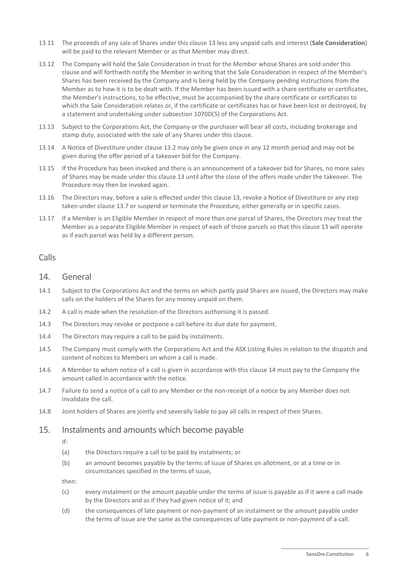- <span id="page-10-0"></span>13.11 The proceeds of any sale of Shares under this clause [13](#page-8-1) less any unpaid calls and interest (**Sale Consideration**) will be paid to the relevant Member or as that Member may direct.
- 13.12 The Company will hold the Sale Consideration in trust for the Member whose Shares are sold under this clause and will forthwith notify the Member in writing that the Sale Consideration in respect of the Member's Shares has been received by the Company and is being held by the Company pending instructions from the Member as to how it is to be dealt with. If the Member has been issued with a share certificate or certificates, the Member's instructions, to be effective, must be accompanied by the share certificate or certificates to which the Sale Consideration relates or, if the certificate or certificates has or have been lost or destroyed, by a statement and undertaking under subsection 1070D(5) of the Corporations Act.
- 13.13 Subject to the Corporations Act, the Company or the purchaser will bear all costs, including brokerage and stamp duty, associated with the sale of any Shares under this clause.
- 13.14 A Notice of Divestiture under clause [13.2](#page-9-0) may only be given once in any 12 month period and may not be given during the offer period of a takeover bid for the Company.
- 13.15 If the Procedure has been invoked and there is an announcement of a takeover bid for Shares, no more sales of Shares may be made under this clause [13](#page-8-1) until after the close of the offers made under the takeover. The Procedure may then be invoked again.
- 13.16 The Directors may, before a sale is effected under this clause [13,](#page-8-1) revoke a Notice of Divestiture or any step taken under clause [13.7](#page-9-2) or suspend or terminate the Procedure, either generally or in specific cases.
- 13.17 If a Member is an Eligible Member in respect of more than one parcel of Shares, the Directors may treat the Member as a separate Eligible Member in respect of each of those parcels so that this clause [13](#page-8-1) will operate as if each parcel was held by a different person.

## <span id="page-10-1"></span>Calls

#### 14. General

- 14.1 Subject to the Corporations Act and the terms on which partly paid Shares are issued, the Directors may make calls on the holders of the Shares for any money unpaid on them.
- 14.2 A call is made when the resolution of the Directors authorising it is passed.
- 14.3 The Directors may revoke or postpone a call before its due date for payment.
- 14.4 The Directors may require a call to be paid by instalments.
- 14.5 The Company must comply with the Corporations Act and the ASX Listing Rules in relation to the dispatch and content of notices to Members on whom a call is made.
- 14.6 A Member to whom notice of a call is given in accordance with this clause [14](#page-10-1) must pay to the Company the amount called in accordance with the notice.
- 14.7 Failure to send a notice of a call to any Member or the non-receipt of a notice by any Member does not invalidate the call.
- 14.8 Joint holders of Shares are jointly and severally liable to pay all calls in respect of their Shares.

#### 15. Instalments and amounts which become payable

If:

- (a) the Directors require a call to be paid by instalments; or
- (b) an amount becomes payable by the terms of issue of Shares on allotment, or at a time or in circumstances specified in the terms of issue,

then:

- (c) every instalment or the amount payable under the terms of issue is payable as if it were a call made by the Directors and as if they had given notice of it; and
- (d) the consequences of late payment or non-payment of an instalment or the amount payable under the terms of issue are the same as the consequences of late payment or non-payment of a call.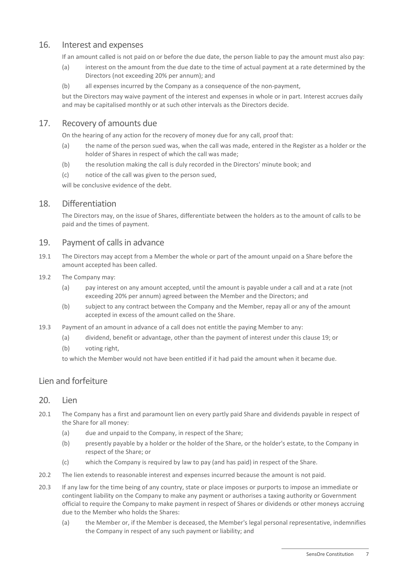## 16. Interest and expenses

If an amount called is not paid on or before the due date, the person liable to pay the amount must also pay:

- (a) interest on the amount from the due date to the time of actual payment at a rate determined by the Directors (not exceeding 20% per annum); and
- (b) all expenses incurred by the Company as a consequence of the non-payment,

but the Directors may waive payment of the interest and expenses in whole or in part. Interest accrues daily and may be capitalised monthly or at such other intervals as the Directors decide.

## 17. Recovery of amounts due

On the hearing of any action for the recovery of money due for any call, proof that:

- (a) the name of the person sued was, when the call was made, entered in the Register as a holder or the holder of Shares in respect of which the call was made;
- (b) the resolution making the call is duly recorded in the Directors' minute book; and
- (c) notice of the call was given to the person sued,

will be conclusive evidence of the debt.

## 18. Differentiation

The Directors may, on the issue of Shares, differentiate between the holders as to the amount of calls to be paid and the times of payment.

## <span id="page-11-0"></span>19. Payment of calls in advance

- 19.1 The Directors may accept from a Member the whole or part of the amount unpaid on a Share before the amount accepted has been called.
- 19.2 The Company may:
	- (a) pay interest on any amount accepted, until the amount is payable under a call and at a rate (not exceeding 20% per annum) agreed between the Member and the Directors; and
	- (b) subject to any contract between the Company and the Member, repay all or any of the amount accepted in excess of the amount called on the Share.
- <span id="page-11-1"></span>19.3 Payment of an amount in advance of a call does not entitle the paying Member to any:
	- (a) dividend, benefit or advantage, other than the payment of interest under this clause [19;](#page-11-0) or
	- (b) voting right,
	- to which the Member would not have been entitled if it had paid the amount when it became due.

## Lien and forfeiture

#### 20. Lien

- 20.1 The Company has a first and paramount lien on every partly paid Share and dividends payable in respect of the Share for all money:
	- (a) due and unpaid to the Company, in respect of the Share:
	- (b) presently payable by a holder or the holder of the Share, or the holder's estate, to the Company in respect of the Share; or
	- (c) which the Company is required by law to pay (and has paid) in respect of the Share.
- 20.2 The lien extends to reasonable interest and expenses incurred because the amount is not paid.
- 20.3 If any law for the time being of any country, state or place imposes or purports to impose an immediate or contingent liability on the Company to make any payment or authorises a taxing authority or Government official to require the Company to make payment in respect of Shares or dividends or other moneys accruing due to the Member who holds the Shares:
	- (a) the Member or, if the Member is deceased, the Member's legal personal representative, indemnifies the Company in respect of any such payment or liability; and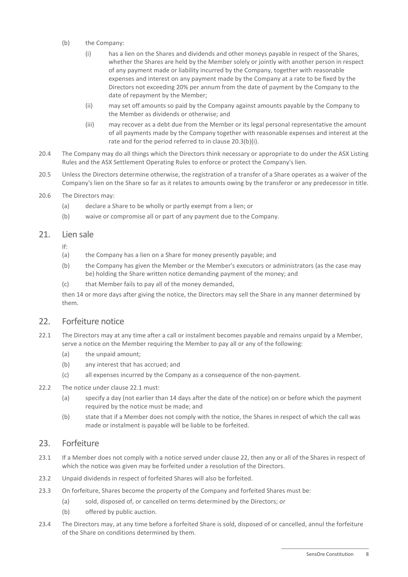- <span id="page-12-0"></span>(b) the Company:
	- (i) has a lien on the Shares and dividends and other moneys payable in respect of the Shares, whether the Shares are held by the Member solely or jointly with another person in respect of any payment made or liability incurred by the Company, together with reasonable expenses and interest on any payment made by the Company at a rate to be fixed by the Directors not exceeding 20% per annum from the date of payment by the Company to the date of repayment by the Member;
	- (ii) may set off amounts so paid by the Company against amounts payable by the Company to the Member as dividends or otherwise; and
	- (iii) may recover as a debt due from the Member or its legal personal representative the amount of all payments made by the Company together with reasonable expenses and interest at the rate and for the period referred to in clause [20.3\(b\)\(i\).](#page-12-0)
- 20.4 The Company may do all things which the Directors think necessary or appropriate to do under the ASX Listing Rules and the ASX Settlement Operating Rules to enforce or protect the Company's lien.
- 20.5 Unless the Directors determine otherwise, the registration of a transfer of a Share operates as a waiver of the Company's lien on the Share so far as it relates to amounts owing by the transferor or any predecessor in title.
- 20.6 The Directors may:
	- (a) declare a Share to be wholly or partly exempt from a lien; or
	- (b) waive or compromise all or part of any payment due to the Company.

#### 21. Lien sale

If:

- (a) the Company has a lien on a Share for money presently payable; and
- (b) the Company has given the Member or the Member's executors or administrators (as the case may be) holding the Share written notice demanding payment of the money; and
- (c) that Member fails to pay all of the money demanded,

then 14 or more days after giving the notice, the Directors may sell the Share in any manner determined by them.

#### <span id="page-12-2"></span>22. Forfeiture notice

- <span id="page-12-1"></span>22.1 The Directors may at any time after a call or instalment becomes payable and remains unpaid by a Member, serve a notice on the Member requiring the Member to pay all or any of the following:
	- (a) the unpaid amount;
	- (b) any interest that has accrued; and
	- (c) all expenses incurred by the Company as a consequence of the non-payment.
- 22.2 The notice under clause [22.1](#page-12-1) must:
	- (a) specify a day (not earlier than 14 days after the date of the notice) on or before which the payment required by the notice must be made; and
	- (b) state that if a Member does not comply with the notice, the Shares in respect of which the call was made or instalment is payable will be liable to be forfeited.

#### 23. Forfeiture

- <span id="page-12-3"></span>23.1 If a Member does not comply with a notice served under clause [22,](#page-12-2) then any or all of the Shares in respect of which the notice was given may be forfeited under a resolution of the Directors.
- 23.2 Unpaid dividends in respect of forfeited Shares will also be forfeited.
- 23.3 On forfeiture, Shares become the property of the Company and forfeited Shares must be:
	- (a) sold, disposed of, or cancelled on terms determined by the Directors; or
	- (b) offered by public auction.
- 23.4 The Directors may, at any time before a forfeited Share is sold, disposed of or cancelled, annul the forfeiture of the Share on conditions determined by them.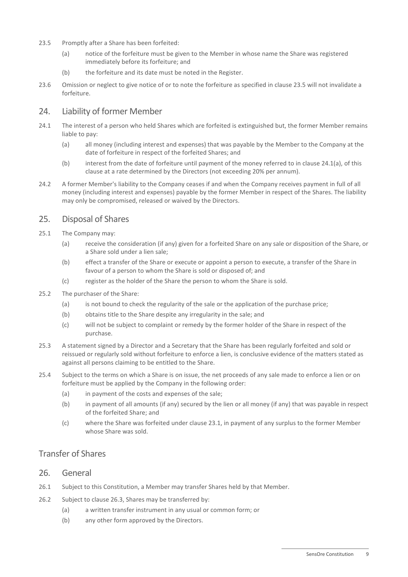- <span id="page-13-0"></span>23.5 Promptly after a Share has been forfeited:
	- (a) notice of the forfeiture must be given to the Member in whose name the Share was registered immediately before its forfeiture; and
	- (b) the forfeiture and its date must be noted in the Register.
- 23.6 Omission or neglect to give notice of or to note the forfeiture as specified in clause [23.5](#page-13-0) will not invalidate a forfeiture.

## 24. Liability of former Member

- <span id="page-13-1"></span>24.1 The interest of a person who held Shares which are forfeited is extinguished but, the former Member remains liable to pay:
	- (a) all money (including interest and expenses) that was payable by the Member to the Company at the date of forfeiture in respect of the forfeited Shares; and
	- (b) interest from the date of forfeiture until payment of the money referred to in clause [24.1\(a\),](#page-13-1) of this clause at a rate determined by the Directors (not exceeding 20% per annum).
- 24.2 A former Member's liability to the Company ceases if and when the Company receives payment in full of all money (including interest and expenses) payable by the former Member in respect of the Shares. The liability may only be compromised, released or waived by the Directors.

## 25. Disposal of Shares

- 25.1 The Company may:
	- (a) receive the consideration (if any) given for a forfeited Share on any sale or disposition of the Share, or a Share sold under a lien sale;
	- (b) effect a transfer of the Share or execute or appoint a person to execute, a transfer of the Share in favour of a person to whom the Share is sold or disposed of; and
	- (c) register as the holder of the Share the person to whom the Share is sold.
- 25.2 The purchaser of the Share:
	- (a) is not bound to check the regularity of the sale or the application of the purchase price;
	- (b) obtains title to the Share despite any irregularity in the sale; and
	- (c) will not be subject to complaint or remedy by the former holder of the Share in respect of the purchase.
- 25.3 A statement signed by a Director and a Secretary that the Share has been regularly forfeited and sold or reissued or regularly sold without forfeiture to enforce a lien, is conclusive evidence of the matters stated as against all persons claiming to be entitled to the Share.
- 25.4 Subject to the terms on which a Share is on issue, the net proceeds of any sale made to enforce a lien or on forfeiture must be applied by the Company in the following order:
	- (a) in payment of the costs and expenses of the sale;
	- (b) in payment of all amounts (if any) secured by the lien or all money (if any) that was payable in respect of the forfeited Share; and
	- (c) where the Share was forfeited under clause [23.1,](#page-12-3) in payment of any surplus to the former Member whose Share was sold.

## Transfer of Shares

#### 26. General

- 26.1 Subject to this Constitution, a Member may transfer Shares held by that Member.
- 26.2 Subject to clause [26.3,](#page-14-1) Shares may be transferred by:
	- (a) a written transfer instrument in any usual or common form; or
	- (b) any other form approved by the Directors.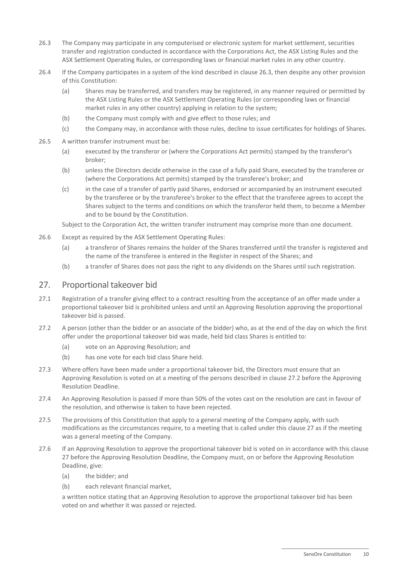- <span id="page-14-1"></span>26.3 The Company may participate in any computerised or electronic system for market settlement, securities transfer and registration conducted in accordance with the Corporations Act, the ASX Listing Rules and the ASX Settlement Operating Rules, or corresponding laws or financial market rules in any other country.
- 26.4 If the Company participates in a system of the kind described in clause [26.3,](#page-14-1) then despite any other provision of this Constitution:
	- (a) Shares may be transferred, and transfers may be registered, in any manner required or permitted by the ASX Listing Rules or the ASX Settlement Operating Rules (or corresponding laws or financial market rules in any other country) applying in relation to the system;
	- (b) the Company must comply with and give effect to those rules; and
	- (c) the Company may, in accordance with those rules, decline to issue certificates for holdings of Shares.
- 26.5 A written transfer instrument must be:
	- (a) executed by the transferor or (where the Corporations Act permits) stamped by the transferor's broker;
	- (b) unless the Directors decide otherwise in the case of a fully paid Share, executed by the transferee or (where the Corporations Act permits) stamped by the transferee's broker; and
	- (c) in the case of a transfer of partly paid Shares, endorsed or accompanied by an instrument executed by the transferee or by the transferee's broker to the effect that the transferee agrees to accept the Shares subject to the terms and conditions on which the transferor held them, to become a Member and to be bound by the Constitution.

Subject to the Corporation Act, the written transfer instrument may comprise more than one document.

- 26.6 Except as required by the ASX Settlement Operating Rules:
	- (a) a transferor of Shares remains the holder of the Shares transferred until the transfer is registered and the name of the transferee is entered in the Register in respect of the Shares; and
	- (b) a transfer of Shares does not pass the right to any dividends on the Shares until such registration.

#### <span id="page-14-0"></span>27. Proportional takeover bid

- 27.1 Registration of a transfer giving effect to a contract resulting from the acceptance of an offer made under a proportional takeover bid is prohibited unless and until an Approving Resolution approving the proportional takeover bid is passed.
- <span id="page-14-2"></span>27.2 A person (other than the bidder or an associate of the bidder) who, as at the end of the day on which the first offer under the proportional takeover bid was made, held bid class Shares is entitled to:
	- (a) vote on an Approving Resolution; and
	- (b) has one vote for each bid class Share held.
- 27.3 Where offers have been made under a proportional takeover bid, the Directors must ensure that an Approving Resolution is voted on at a meeting of the persons described in clause [27.2](#page-14-2) before the Approving Resolution Deadline.
- 27.4 An Approving Resolution is passed if more than 50% of the votes cast on the resolution are cast in favour of the resolution, and otherwise is taken to have been rejected.
- 27.5 The provisions of this Constitution that apply to a general meeting of the Company apply, with such modifications as the circumstances require, to a meeting that is called under this claus[e 27](#page-14-0) as if the meeting was a general meeting of the Company.
- 27.6 If an Approving Resolution to approve the proportional takeover bid is voted on in accordance with this clause [27](#page-14-0) before the Approving Resolution Deadline, the Company must, on or before the Approving Resolution Deadline, give:
	- (a) the bidder; and
	- (b) each relevant financial market,

a written notice stating that an Approving Resolution to approve the proportional takeover bid has been voted on and whether it was passed or rejected.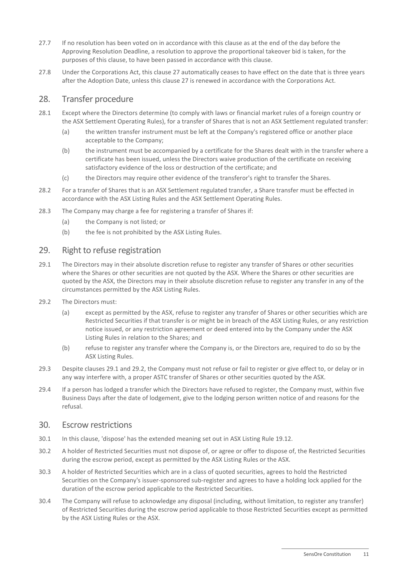- 27.7 If no resolution has been voted on in accordance with this clause as at the end of the day before the Approving Resolution Deadline, a resolution to approve the proportional takeover bid is taken, for the purposes of this clause, to have been passed in accordance with this clause.
- 27.8 Under the Corporations Act, this clause [27](#page-14-0) automatically ceases to have effect on the date that is three years after the Adoption Date, unless this clause [27](#page-14-0) is renewed in accordance with the Corporations Act.

#### 28. Transfer procedure

- 28.1 Except where the Directors determine (to comply with laws or financial market rules of a foreign country or the ASX Settlement Operating Rules), for a transfer of Shares that is not an ASX Settlement regulated transfer:
	- (a) the written transfer instrument must be left at the Company's registered office or another place acceptable to the Company;
	- (b) the instrument must be accompanied by a certificate for the Shares dealt with in the transfer where a certificate has been issued, unless the Directors waive production of the certificate on receiving satisfactory evidence of the loss or destruction of the certificate; and
	- (c) the Directors may require other evidence of the transferor's right to transfer the Shares.
- 28.2 For a transfer of Shares that is an ASX Settlement regulated transfer, a Share transfer must be effected in accordance with the ASX Listing Rules and the ASX Settlement Operating Rules.
- 28.3 The Company may charge a fee for registering a transfer of Shares if:
	- (a) the Company is not listed; or
	- (b) the fee is not prohibited by the ASX Listing Rules.

#### <span id="page-15-2"></span>29. Right to refuse registration

- <span id="page-15-0"></span>29.1 The Directors may in their absolute discretion refuse to register any transfer of Shares or other securities where the Shares or other securities are not quoted by the ASX. Where the Shares or other securities are quoted by the ASX, the Directors may in their absolute discretion refuse to register any transfer in any of the circumstances permitted by the ASX Listing Rules.
- <span id="page-15-1"></span>29.2 The Directors must:
	- (a) except as permitted by the ASX, refuse to register any transfer of Shares or other securities which are Restricted Securities if that transfer is or might be in breach of the ASX Listing Rules, or any restriction notice issued, or any restriction agreement or deed entered into by the Company under the ASX Listing Rules in relation to the Shares; and
	- (b) refuse to register any transfer where the Company is, or the Directors are, required to do so by the ASX Listing Rules.
- 29.3 Despite clauses [29.1](#page-15-0) and [29.2,](#page-15-1) the Company must not refuse or fail to register or give effect to, or delay or in any way interfere with, a proper ASTC transfer of Shares or other securities quoted by the ASX.
- 29.4 If a person has lodged a transfer which the Directors have refused to register, the Company must, within five Business Days after the date of lodgement, give to the lodging person written notice of and reasons for the refusal.

#### 30. Escrow restrictions

- 30.1 In this clause, 'dispose' has the extended meaning set out in ASX Listing Rule 19.12.
- 30.2 A holder of Restricted Securities must not dispose of, or agree or offer to dispose of, the Restricted Securities during the escrow period, except as permitted by the ASX Listing Rules or the ASX.
- 30.3 A holder of Restricted Securities which are in a class of quoted securities, agrees to hold the Restricted Securities on the Company's issuer-sponsored sub-register and agrees to have a holding lock applied for the duration of the escrow period applicable to the Restricted Securities.
- 30.4 The Company will refuse to acknowledge any disposal (including, without limitation, to register any transfer) of Restricted Securities during the escrow period applicable to those Restricted Securities except as permitted by the ASX Listing Rules or the ASX.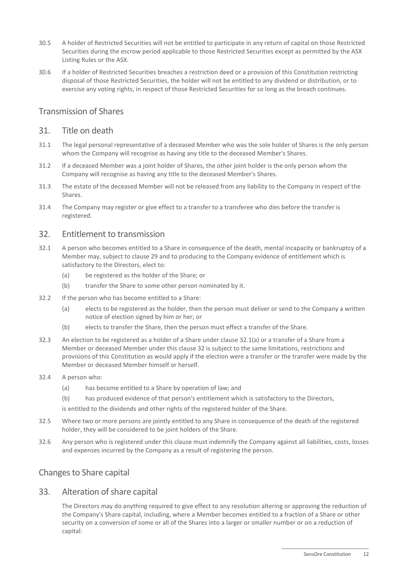- 30.5 A holder of Restricted Securities will not be entitled to participate in any return of capital on those Restricted Securities during the escrow period applicable to those Restricted Securities except as permitted by the ASX Listing Rules or the ASX.
- 30.6 If a holder of Restricted Securities breaches a restriction deed or a provision of this Constitution restricting disposal of those Restricted Securities, the holder will not be entitled to any dividend or distribution, or to exercise any voting rights, in respect of those Restricted Securities for so long as the breach continues.

## Transmission of Shares

#### 31. Title on death

- 31.1 The legal personal representative of a deceased Member who was the sole holder of Shares is the only person whom the Company will recognise as having any title to the deceased Member's Shares.
- 31.2 If a deceased Member was a joint holder of Shares, the other joint holder is the only person whom the Company will recognise as having any title to the deceased Member's Shares.
- 31.3 The estate of the deceased Member will not be released from any liability to the Company in respect of the **Shares**
- 31.4 The Company may register or give effect to a transfer to a transferee who dies before the transfer is registered.

#### <span id="page-16-1"></span>32. Entitlement to transmission

- 32.1 A person who becomes entitled to a Share in consequence of the death, mental incapacity or bankruptcy of a Member may, subject to clause [29](#page-15-2) and to producing to the Company evidence of entitlement which is satisfactory to the Directors, elect to:
	- (a) be registered as the holder of the Share; or
	- (b) transfer the Share to some other person nominated by it.
- <span id="page-16-0"></span>32.2 If the person who has become entitled to a Share:
	- (a) elects to be registered as the holder, then the person must deliver or send to the Company a written notice of election signed by him or her; or
	- (b) elects to transfer the Share, then the person must effect a transfer of the Share.
- 32.3 An election to be registered as a holder of a Share under clause [32.1\(a\)](#page-16-0) or a transfer of a Share from a Member or deceased Member under this clause [32](#page-16-1) is subject to the same limitations, restrictions and provisions of this Constitution as would apply if the election were a transfer or the transfer were made by the Member or deceased Member himself or herself.
- 32.4 A person who:
	- (a) has become entitled to a Share by operation of law; and
	- (b) has produced evidence of that person's entitlement which is satisfactory to the Directors,

is entitled to the dividends and other rights of the registered holder of the Share.

- 32.5 Where two or more persons are jointly entitled to any Share in consequence of the death of the registered holder, they will be considered to be joint holders of the Share.
- 32.6 Any person who is registered under this clause must indemnify the Company against all liabilities, costs, losses and expenses incurred by the Company as a result of registering the person.

## Changes to Share capital

## 33. Alteration of share capital

The Directors may do anything required to give effect to any resolution altering or approving the reduction of the Company's Share capital, including, where a Member becomes entitled to a fraction of a Share or other security on a conversion of some or all of the Shares into a larger or smaller number or on a reduction of capital: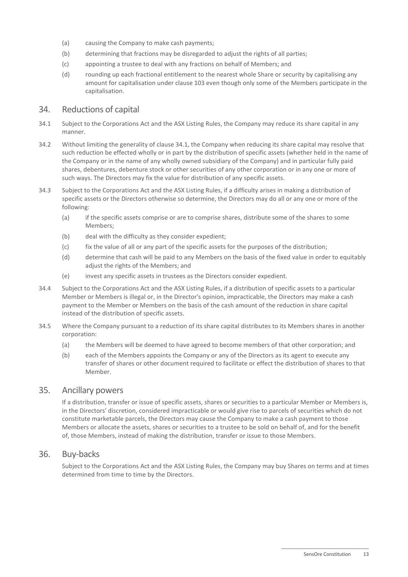- (a) causing the Company to make cash payments;
- (b) determining that fractions may be disregarded to adjust the rights of all parties;
- (c) appointing a trustee to deal with any fractions on behalf of Members; and
- (d) rounding up each fractional entitlement to the nearest whole Share or security by capitalising any amount for capitalisation under claus[e 103](#page-38-0) even though only some of the Members participate in the capitalisation.

#### 34. Reductions of capital

- <span id="page-17-0"></span>34.1 Subject to the Corporations Act and the ASX Listing Rules, the Company may reduce its share capital in any manner.
- 34.2 Without limiting the generality of claus[e 34.1,](#page-17-0) the Company when reducing its share capital may resolve that such reduction be effected wholly or in part by the distribution of specific assets (whether held in the name of the Company or in the name of any wholly owned subsidiary of the Company) and in particular fully paid shares, debentures, debenture stock or other securities of any other corporation or in any one or more of such ways. The Directors may fix the value for distribution of any specific assets.
- 34.3 Subject to the Corporations Act and the ASX Listing Rules, if a difficulty arises in making a distribution of specific assets or the Directors otherwise so determine, the Directors may do all or any one or more of the following:
	- (a) if the specific assets comprise or are to comprise shares, distribute some of the shares to some Members;
	- (b) deal with the difficulty as they consider expedient;
	- (c) fix the value of all or any part of the specific assets for the purposes of the distribution;
	- (d) determine that cash will be paid to any Members on the basis of the fixed value in order to equitably adjust the rights of the Members; and
	- (e) invest any specific assets in trustees as the Directors consider expedient.
- 34.4 Subject to the Corporations Act and the ASX Listing Rules, if a distribution of specific assets to a particular Member or Members is illegal or, in the Director's opinion, impracticable, the Directors may make a cash payment to the Member or Members on the basis of the cash amount of the reduction in share capital instead of the distribution of specific assets.
- 34.5 Where the Company pursuant to a reduction of its share capital distributes to its Members shares in another corporation:
	- (a) the Members will be deemed to have agreed to become members of that other corporation; and
	- (b) each of the Members appoints the Company or any of the Directors as its agent to execute any transfer of shares or other document required to facilitate or effect the distribution of shares to that Member.

#### 35. Ancillary powers

If a distribution, transfer or issue of specific assets, shares or securities to a particular Member or Members is, in the Directors' discretion, considered impracticable or would give rise to parcels of securities which do not constitute marketable parcels, the Directors may cause the Company to make a cash payment to those Members or allocate the assets, shares or securities to a trustee to be sold on behalf of, and for the benefit of, those Members, instead of making the distribution, transfer or issue to those Members.

#### 36. Buy-backs

Subject to the Corporations Act and the ASX Listing Rules, the Company may buy Shares on terms and at times determined from time to time by the Directors.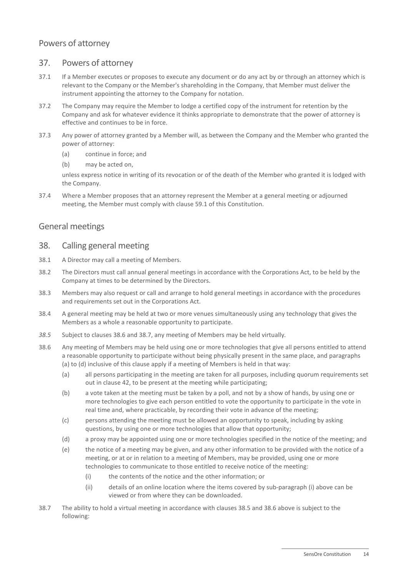## Powers of attorney

## 37. Powers of attorney

- 37.1 If a Member executes or proposes to execute any document or do any act by or through an attorney which is relevant to the Company or the Member's shareholding in the Company, that Member must deliver the instrument appointing the attorney to the Company for notation.
- 37.2 The Company may require the Member to lodge a certified copy of the instrument for retention by the Company and ask for whatever evidence it thinks appropriate to demonstrate that the power of attorney is effective and continues to be in force.
- 37.3 Any power of attorney granted by a Member will, as between the Company and the Member who granted the power of attorney:
	- (a) continue in force; and
	- (b) may be acted on,

unless express notice in writing of its revocation or of the death of the Member who granted it is lodged with the Company.

37.4 Where a Member proposes that an attorney represent the Member at a general meeting or adjourned meeting, the Member must comply with clause [59.1](#page-25-0) of this Constitution.

## General meetings

## 38. Calling general meeting

- 38.1 A Director may call a meeting of Members.
- 38.2 The Directors must call annual general meetings in accordance with the Corporations Act, to be held by the Company at times to be determined by the Directors.
- <span id="page-18-6"></span>38.3 Members may also request or call and arrange to hold general meetings in accordance with the procedures and requirements set out in the Corporations Act.
- 38.4 A general meeting may be held at two or more venues simultaneously using any technology that gives the Members as a whole a reasonable opportunity to participate.
- <span id="page-18-5"></span>*38.5* Subject to clause[s 38.6](#page-18-0) and [38.7,](#page-18-1) any meeting of Members may be held virtually*.*
- <span id="page-18-2"></span><span id="page-18-0"></span>38.6 Any meeting of Members may be held using one or more technologies that give all persons entitled to attend a reasonable opportunity to participate without being physically present in the same place, and paragraphs [\(a\)](#page-18-2) t[o \(d\)](#page-18-3) inclusive of this clause apply if a meeting of Members is held in that way:
	- (a) all persons participating in the meeting are taken for all purposes, including quorum requirements set out in claus[e 42,](#page-19-0) to be present at the meeting while participating;
	- (b) a vote taken at the meeting must be taken by a poll, and not by a show of hands, by using one or more technologies to give each person entitled to vote the opportunity to participate in the vote in real time and, where practicable, by recording their vote in advance of the meeting;
	- (c) persons attending the meeting must be allowed an opportunity to speak, including by asking questions, by using one or more technologies that allow that opportunity;
	- (d) a proxy may be appointed using one or more technologies specified in the notice of the meeting; and
	- (e) the notice of a meeting may be given, and any other information to be provided with the notice of a meeting, or at or in relation to a meeting of Members, may be provided, using one or more technologies to communicate to those entitled to receive notice of the meeting:
		- (i) the contents of the notice and the other information; or
		- (ii) details of an online location where the items covered by sub-paragraph [\(i\)](#page-18-4) above can be viewed or from where they can be downloaded.
- <span id="page-18-4"></span><span id="page-18-3"></span><span id="page-18-1"></span>38.7 The ability to hold a virtual meeting in accordance with clauses [38.5](#page-18-5) an[d 38.6](#page-18-0) above is subject to the following: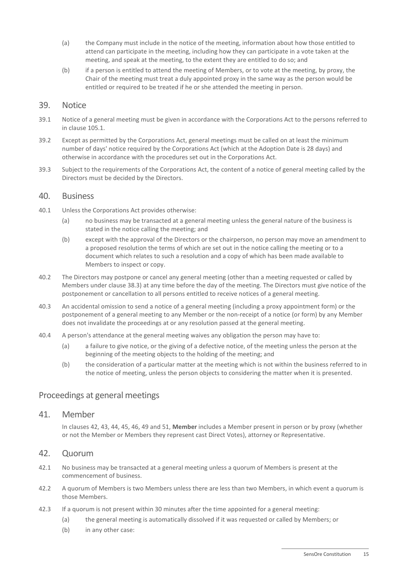- (a) the Company must include in the notice of the meeting, information about how those entitled to attend can participate in the meeting, including how they can participate in a vote taken at the meeting, and speak at the meeting, to the extent they are entitled to do so; and
- (b) if a person is entitled to attend the meeting of Members, or to vote at the meeting, by proxy, the Chair of the meeting must treat a duly appointed proxy in the same way as the person would be entitled or required to be treated if he or she attended the meeting in person.

#### 39. Notice

- 39.1 Notice of a general meeting must be given in accordance with the Corporations Act to the persons referred to in clause [105.1.](#page-40-0)
- 39.2 Except as permitted by the Corporations Act, general meetings must be called on at least the minimum number of days' notice required by the Corporations Act (which at the Adoption Date is 28 days) and otherwise in accordance with the procedures set out in the Corporations Act.
- 39.3 Subject to the requirements of the Corporations Act, the content of a notice of general meeting called by the Directors must be decided by the Directors.

#### 40. Business

- 40.1 Unless the Corporations Act provides otherwise:
	- (a) no business may be transacted at a general meeting unless the general nature of the business is stated in the notice calling the meeting; and
	- (b) except with the approval of the Directors or the chairperson, no person may move an amendment to a proposed resolution the terms of which are set out in the notice calling the meeting or to a document which relates to such a resolution and a copy of which has been made available to Members to inspect or copy.
- 40.2 The Directors may postpone or cancel any general meeting (other than a meeting requested or called by Members under clause [38.3\)](#page-18-6) at any time before the day of the meeting. The Directors must give notice of the postponement or cancellation to all persons entitled to receive notices of a general meeting.
- 40.3 An accidental omission to send a notice of a general meeting (including a proxy appointment form) or the postponement of a general meeting to any Member or the non-receipt of a notice (or form) by any Member does not invalidate the proceedings at or any resolution passed at the general meeting.
- 40.4 A person's attendance at the general meeting waives any obligation the person may have to:
	- (a) a failure to give notice, or the giving of a defective notice, of the meeting unless the person at the beginning of the meeting objects to the holding of the meeting; and
	- (b) the consideration of a particular matter at the meeting which is not within the business referred to in the notice of meeting, unless the person objects to considering the matter when it is presented.

#### Proceedings at general meetings

#### 41. Member

In clauses [42,](#page-19-0) [43,](#page-20-0) [44,](#page-20-1) [45,](#page-20-2) [46,](#page-21-0) [49](#page-22-0) and [51,](#page-23-0) **Member** includes a Member present in person or by proxy (whether or not the Member or Members they represent cast Direct Votes), attorney or Representative.

#### <span id="page-19-0"></span>42. Quorum

- 42.1 No business may be transacted at a general meeting unless a quorum of Members is present at the commencement of business.
- 42.2 A quorum of Members is two Members unless there are less than two Members, in which event a quorum is those Members.
- 42.3 If a quorum is not present within 30 minutes after the time appointed for a general meeting:
	- (a) the general meeting is automatically dissolved if it was requested or called by Members; or
	- (b) in any other case: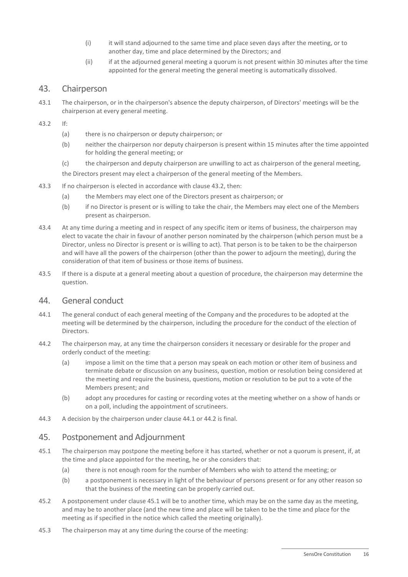- (i) it will stand adjourned to the same time and place seven days after the meeting, or to another day, time and place determined by the Directors; and
- (ii) if at the adjourned general meeting a quorum is not present within 30 minutes after the time appointed for the general meeting the general meeting is automatically dissolved.

## <span id="page-20-0"></span>43. Chairperson

- 43.1 The chairperson, or in the chairperson's absence the deputy chairperson, of Directors' meetings will be the chairperson at every general meeting.
- <span id="page-20-3"></span>43.2 If:
	- (a) there is no chairperson or deputy chairperson; or
	- (b) neither the chairperson nor deputy chairperson is present within 15 minutes after the time appointed for holding the general meeting; or
	- (c) the chairperson and deputy chairperson are unwilling to act as chairperson of the general meeting,

the Directors present may elect a chairperson of the general meeting of the Members.

- 43.3 If no chairperson is elected in accordance with clause [43.2,](#page-20-3) then:
	- (a) the Members may elect one of the Directors present as chairperson; or
	- (b) if no Director is present or is willing to take the chair, the Members may elect one of the Members present as chairperson.
- 43.4 At any time during a meeting and in respect of any specific item or items of business, the chairperson may elect to vacate the chair in favour of another person nominated by the chairperson (which person must be a Director, unless no Director is present or is willing to act). That person is to be taken to be the chairperson and will have all the powers of the chairperson (other than the power to adjourn the meeting), during the consideration of that item of business or those items of business.
- 43.5 If there is a dispute at a general meeting about a question of procedure, the chairperson may determine the question.

#### <span id="page-20-1"></span>44. General conduct

- <span id="page-20-4"></span>44.1 The general conduct of each general meeting of the Company and the procedures to be adopted at the meeting will be determined by the chairperson, including the procedure for the conduct of the election of Directors.
- <span id="page-20-5"></span>44.2 The chairperson may, at any time the chairperson considers it necessary or desirable for the proper and orderly conduct of the meeting:
	- (a) impose a limit on the time that a person may speak on each motion or other item of business and terminate debate or discussion on any business, question, motion or resolution being considered at the meeting and require the business, questions, motion or resolution to be put to a vote of the Members present; and
	- (b) adopt any procedures for casting or recording votes at the meeting whether on a show of hands or on a poll, including the appointment of scrutineers.
- 44.3 A decision by the chairperson under clause [44.1](#page-20-4) or [44.2](#page-20-5) is final.

#### <span id="page-20-2"></span>45. Postponement and Adjournment

- <span id="page-20-6"></span>45.1 The chairperson may postpone the meeting before it has started, whether or not a quorum is present, if, at the time and place appointed for the meeting, he or she considers that:
	- (a) there is not enough room for the number of Members who wish to attend the meeting; or
	- (b) a postponement is necessary in light of the behaviour of persons present or for any other reason so that the business of the meeting can be properly carried out.
- 45.2 A postponement under claus[e 45.1](#page-20-6) will be to another time, which may be on the same day as the meeting, and may be to another place (and the new time and place will be taken to be the time and place for the meeting as if specified in the notice which called the meeting originally).
- <span id="page-20-7"></span>45.3 The chairperson may at any time during the course of the meeting: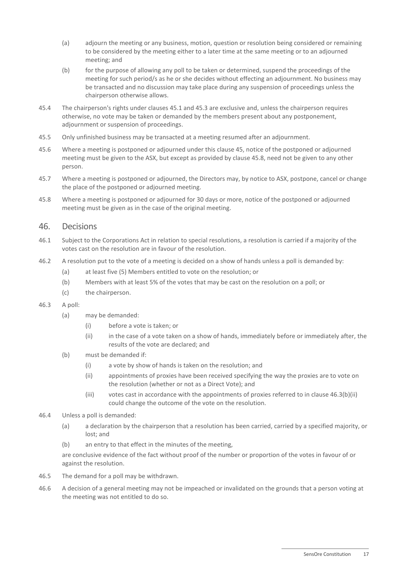- (a) adjourn the meeting or any business, motion, question or resolution being considered or remaining to be considered by the meeting either to a later time at the same meeting or to an adjourned meeting; and
- (b) for the purpose of allowing any poll to be taken or determined, suspend the proceedings of the meeting for such period/s as he or she decides without effecting an adjournment. No business may be transacted and no discussion may take place during any suspension of proceedings unless the chairperson otherwise allows.
- 45.4 The chairperson's rights under clauses [45.1](#page-20-6) an[d 45.3](#page-20-7) are exclusive and, unless the chairperson requires otherwise, no vote may be taken or demanded by the members present about any postponement, adjournment or suspension of proceedings.
- 45.5 Only unfinished business may be transacted at a meeting resumed after an adjournment.
- 45.6 Where a meeting is postponed or adjourned under this claus[e 45,](#page-20-2) notice of the postponed or adjourned meeting must be given to the ASX, but except as provided by claus[e 45.8,](#page-21-1) need not be given to any other person.
- 45.7 Where a meeting is postponed or adjourned, the Directors may, by notice to ASX, postpone, cancel or change the place of the postponed or adjourned meeting.
- <span id="page-21-1"></span>45.8 Where a meeting is postponed or adjourned for 30 days or more, notice of the postponed or adjourned meeting must be given as in the case of the original meeting.

## <span id="page-21-0"></span>46. Decisions

- 46.1 Subject to the Corporations Act in relation to special resolutions, a resolution is carried if a majority of the votes cast on the resolution are in favour of the resolution.
- 46.2 A resolution put to the vote of a meeting is decided on a show of hands unless a poll is demanded by:
	- (a) at least five (5) Members entitled to vote on the resolution; or
	- (b) Members with at least 5% of the votes that may be cast on the resolution on a poll; or
	- (c) the chairperson.
- 46.3 A poll:
	- (a) may be demanded:
		- (i) before a vote is taken; or
		- (ii) in the case of a vote taken on a show of hands, immediately before or immediately after, the results of the vote are declared; and
	- (b) must be demanded if:
		- (i) a vote by show of hands is taken on the resolution; and
		- (ii) appointments of proxies have been received specifying the way the proxies are to vote on the resolution (whether or not as a Direct Vote); and
		- (iii) votes cast in accordance with the appointments of proxies referred to in clause [46.3\(b\)\(ii\)](#page-21-2) could change the outcome of the vote on the resolution.
- <span id="page-21-2"></span>46.4 Unless a poll is demanded:
	- (a) a declaration by the chairperson that a resolution has been carried, carried by a specified majority, or lost; and
	- (b) an entry to that effect in the minutes of the meeting,

are conclusive evidence of the fact without proof of the number or proportion of the votes in favour of or against the resolution.

- 46.5 The demand for a poll may be withdrawn.
- 46.6 A decision of a general meeting may not be impeached or invalidated on the grounds that a person voting at the meeting was not entitled to do so.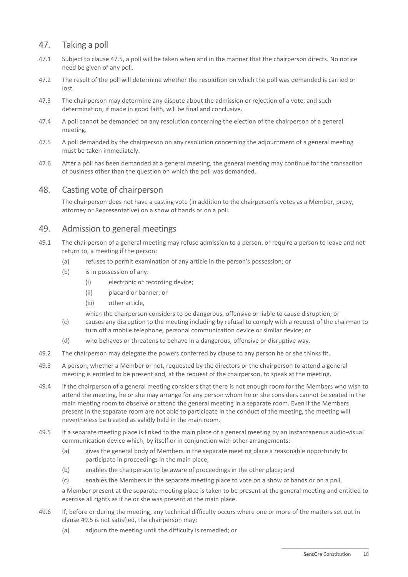## 47. Taking a poll

- 47.1 Subject to clause [47.5,](#page-22-1) a poll will be taken when and in the manner that the chairperson directs. No notice need be given of any poll.
- 47.2 The result of the poll will determine whether the resolution on which the poll was demanded is carried or lost.
- 47.3 The chairperson may determine any dispute about the admission or rejection of a vote, and such determination, if made in good faith, will be final and conclusive.
- 47.4 A poll cannot be demanded on any resolution concerning the election of the chairperson of a general meeting.
- <span id="page-22-1"></span>47.5 A poll demanded by the chairperson on any resolution concerning the adjournment of a general meeting must be taken immediately.
- 47.6 After a poll has been demanded at a general meeting, the general meeting may continue for the transaction of business other than the question on which the poll was demanded.

## 48. Casting vote of chairperson

The chairperson does not have a casting vote (in addition to the chairperson's votes as a Member, proxy, attorney or Representative) on a show of hands or on a poll.

## <span id="page-22-0"></span>49. Admission to general meetings

- 49.1 The chairperson of a general meeting may refuse admission to a person, or require a person to leave and not return to, a meeting if the person:
	- (a) refuses to permit examination of any article in the person's possession; or
	- (b) is in possession of any:
		- (i) electronic or recording device;
		- (ii) placard or banner; or
		- (iii) other article,

which the chairperson considers to be dangerous, offensive or liable to cause disruption; or

- (c) causes any disruption to the meeting including by refusal to comply with a request of the chairman to turn off a mobile telephone, personal communication device or similar device; or
- (d) who behaves or threatens to behave in a dangerous, offensive or disruptive way.
- 49.2 The chairperson may delegate the powers conferred by clause to any person he or she thinks fit.
- 49.3 A person, whether a Member or not, requested by the directors or the chairperson to attend a general meeting is entitled to be present and, at the request of the chairperson, to speak at the meeting.
- 49.4 If the chairperson of a general meeting considers that there is not enough room for the Members who wish to attend the meeting, he or she may arrange for any person whom he or she considers cannot be seated in the main meeting room to observe or attend the general meeting in a separate room. Even if the Members present in the separate room are not able to participate in the conduct of the meeting, the meeting will nevertheless be treated as validly held in the main room.
- <span id="page-22-2"></span>49.5 If a separate meeting place is linked to the main place of a general meeting by an instantaneous audio-visual communication device which, by itself or in conjunction with other arrangements:
	- (a) gives the general body of Members in the separate meeting place a reasonable opportunity to participate in proceedings in the main place;
	- (b) enables the chairperson to be aware of proceedings in the other place; and
	- (c) enables the Members in the separate meeting place to vote on a show of hands or on a poll,

a Member present at the separate meeting place is taken to be present at the general meeting and entitled to exercise all rights as if he or she was present at the main place.

- 49.6 If, before or during the meeting, any technical difficulty occurs where one or more of the matters set out in claus[e 49.5](#page-22-2) is not satisfied, the chairperson may:
	- (a) adjourn the meeting until the difficulty is remedied; or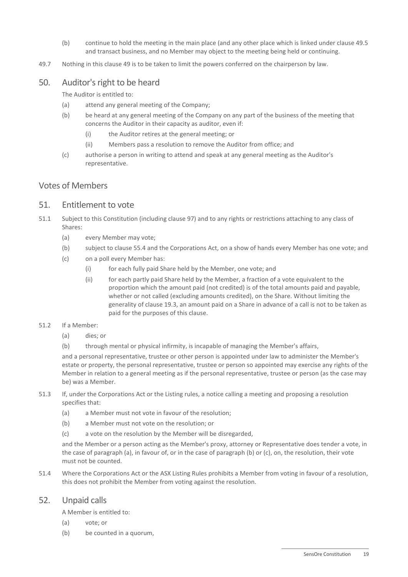- (b) continue to hold the meeting in the main place (and any other place which is linked under claus[e 49.5](#page-22-2) and transact business, and no Member may object to the meeting being held or continuing.
- 49.7 Nothing in this clause [49](#page-22-0) is to be taken to limit the powers conferred on the chairperson by law.

## 50. Auditor's right to be heard

The Auditor is entitled to:

- (a) attend any general meeting of the Company;
- (b) be heard at any general meeting of the Company on any part of the business of the meeting that concerns the Auditor in their capacity as auditor, even if:
	- (i) the Auditor retires at the general meeting; or
	- (ii) Members pass a resolution to remove the Auditor from office; and
- (c) authorise a person in writing to attend and speak at any general meeting as the Auditor's representative.

#### <span id="page-23-0"></span>Votes of Members

#### 51. Entitlement to vote

- 51.1 Subject to this Constitution (including claus[e 97\)](#page-36-0) and to any rights or restrictions attaching to any class of Shares:
	- (a) every Member may vote;
	- (b) subject to clause [55.4](#page-24-1) and the Corporations Act, on a show of hands every Member has one vote; and
	- (c) on a poll every Member has:
		- (i) for each fully paid Share held by the Member, one vote; and
		- (ii) for each partly paid Share held by the Member, a fraction of a vote equivalent to the proportion which the amount paid (not credited) is of the total amounts paid and payable, whether or not called (excluding amounts credited), on the Share. Without limiting the generality of clause [19.3,](#page-11-1) an amount paid on a Share in advance of a call is not to be taken as paid for the purposes of this clause.

#### 51.2 If a Member:

- (a) dies; or
- (b) through mental or physical infirmity, is incapable of managing the Member's affairs,

and a personal representative, trustee or other person is appointed under law to administer the Member's estate or property, the personal representative, trustee or person so appointed may exercise any rights of the Member in relation to a general meeting as if the personal representative, trustee or person (as the case may be) was a Member.

- 51.3 If, under the Corporations Act or the Listing rules, a notice calling a meeting and proposing a resolution specifies that:
	- (a) a Member must not vote in favour of the resolution;
	- (b) a Member must not vote on the resolution; or
	- (c) a vote on the resolution by the Member will be disregarded,

and the Member or a person acting as the Member's proxy, attorney or Representative does tender a vote, in the case of paragraph (a), in favour of, or in the case of paragraph (b) or (c), on, the resolution, their vote must not be counted.

51.4 Where the Corporations Act or the ASX Listing Rules prohibits a Member from voting in favour of a resolution, this does not prohibit the Member from voting against the resolution.

## 52. Unpaid calls

A Member is entitled to:

- (a) vote; or
- (b) be counted in a quorum,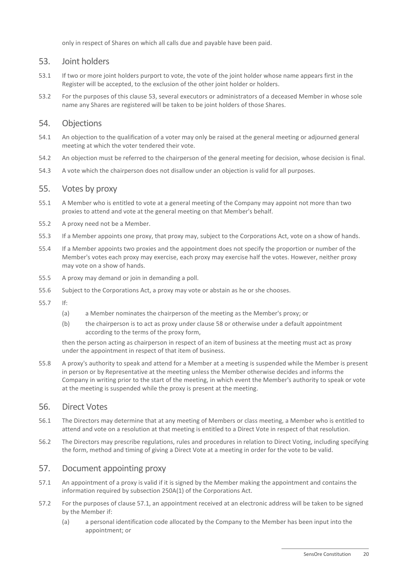only in respect of Shares on which all calls due and payable have been paid.

#### <span id="page-24-2"></span>53. Joint holders

- 53.1 If two or more joint holders purport to vote, the vote of the joint holder whose name appears first in the Register will be accepted, to the exclusion of the other joint holder or holders.
- 53.2 For the purposes of this clause [53,](#page-24-2) several executors or administrators of a deceased Member in whose sole name any Shares are registered will be taken to be joint holders of those Shares.

#### 54. Objections

- 54.1 An objection to the qualification of a voter may only be raised at the general meeting or adjourned general meeting at which the voter tendered their vote.
- 54.2 An objection must be referred to the chairperson of the general meeting for decision, whose decision is final.
- 54.3 A vote which the chairperson does not disallow under an objection is valid for all purposes.

#### 55. Votes by proxy

- 55.1 A Member who is entitled to vote at a general meeting of the Company may appoint not more than two proxies to attend and vote at the general meeting on that Member's behalf.
- 55.2 A proxy need not be a Member.
- 55.3 If a Member appoints one proxy, that proxy may, subject to the Corporations Act, vote on a show of hands.
- <span id="page-24-1"></span>55.4 If a Member appoints two proxies and the appointment does not specify the proportion or number of the Member's votes each proxy may exercise, each proxy may exercise half the votes. However, neither proxy may vote on a show of hands.
- 55.5 A proxy may demand or join in demanding a poll.
- 55.6 Subject to the Corporations Act, a proxy may vote or abstain as he or she chooses.
- 55.7 If:
	- (a) a Member nominates the chairperson of the meeting as the Member's proxy; or
	- (b) the chairperson is to act as proxy under clause [58](#page-25-1) or otherwise under a default appointment according to the terms of the proxy form,

then the person acting as chairperson in respect of an item of business at the meeting must act as proxy under the appointment in respect of that item of business.

55.8 A proxy's authority to speak and attend for a Member at a meeting is suspended while the Member is present in person or by Representative at the meeting unless the Member otherwise decides and informs the Company in writing prior to the start of the meeting, in which event the Member's authority to speak or vote at the meeting is suspended while the proxy is present at the meeting.

#### <span id="page-24-0"></span>56. Direct Votes

- 56.1 The Directors may determine that at any meeting of Members or class meeting, a Member who is entitled to attend and vote on a resolution at that meeting is entitled to a Direct Vote in respect of that resolution.
- 56.2 The Directors may prescribe regulations, rules and procedures in relation to Direct Voting, including specifying the form, method and timing of giving a Direct Vote at a meeting in order for the vote to be valid.

## 57. Document appointing proxy

- <span id="page-24-3"></span>57.1 An appointment of a proxy is valid if it is signed by the Member making the appointment and contains the information required by subsection 250A(1) of the Corporations Act.
- 57.2 For the purposes of clause [57.1,](#page-24-3) an appointment received at an electronic address will be taken to be signed by the Member if:
	- (a) a personal identification code allocated by the Company to the Member has been input into the appointment; or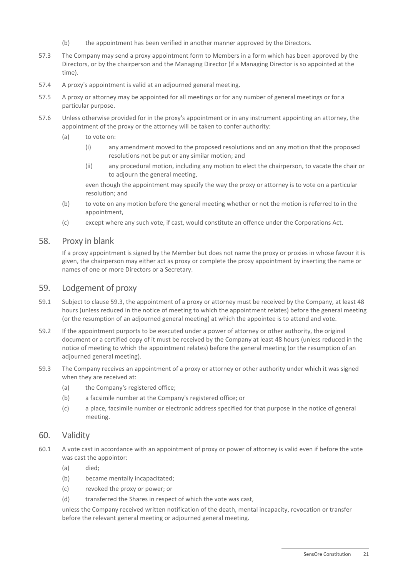- (b) the appointment has been verified in another manner approved by the Directors.
- 57.3 The Company may send a proxy appointment form to Members in a form which has been approved by the Directors, or by the chairperson and the Managing Director (if a Managing Director is so appointed at the time).
- 57.4 A proxy's appointment is valid at an adjourned general meeting.
- 57.5 A proxy or attorney may be appointed for all meetings or for any number of general meetings or for a particular purpose.
- 57.6 Unless otherwise provided for in the proxy's appointment or in any instrument appointing an attorney, the appointment of the proxy or the attorney will be taken to confer authority:
	- (a) to vote on:
		- (i) any amendment moved to the proposed resolutions and on any motion that the proposed resolutions not be put or any similar motion; and
		- (ii) any procedural motion, including any motion to elect the chairperson, to vacate the chair or to adjourn the general meeting,

even though the appointment may specify the way the proxy or attorney is to vote on a particular resolution; and

- (b) to vote on any motion before the general meeting whether or not the motion is referred to in the appointment,
- (c) except where any such vote, if cast, would constitute an offence under the Corporations Act.

#### <span id="page-25-1"></span>58. Proxy in blank

If a proxy appointment is signed by the Member but does not name the proxy or proxies in whose favour it is given, the chairperson may either act as proxy or complete the proxy appointment by inserting the name or names of one or more Directors or a Secretary.

#### 59. Lodgement of proxy

- <span id="page-25-0"></span>59.1 Subject to clause [59.3,](#page-25-2) the appointment of a proxy or attorney must be received by the Company, at least 48 hours (unless reduced in the notice of meeting to which the appointment relates) before the general meeting (or the resumption of an adjourned general meeting) at which the appointee is to attend and vote.
- 59.2 If the appointment purports to be executed under a power of attorney or other authority, the original document or a certified copy of it must be received by the Company at least 48 hours (unless reduced in the notice of meeting to which the appointment relates) before the general meeting (or the resumption of an adjourned general meeting).
- <span id="page-25-2"></span>59.3 The Company receives an appointment of a proxy or attorney or other authority under which it was signed when they are received at:
	- (a) the Company's registered office;
	- (b) a facsimile number at the Company's registered office; or
	- (c) a place, facsimile number or electronic address specified for that purpose in the notice of general meeting.

#### 60. Validity

- 60.1 A vote cast in accordance with an appointment of proxy or power of attorney is valid even if before the vote was cast the appointor:
	- (a) died;
	- (b) became mentally incapacitated;
	- (c) revoked the proxy or power; or
	- (d) transferred the Shares in respect of which the vote was cast,

unless the Company received written notification of the death, mental incapacity, revocation or transfer before the relevant general meeting or adjourned general meeting.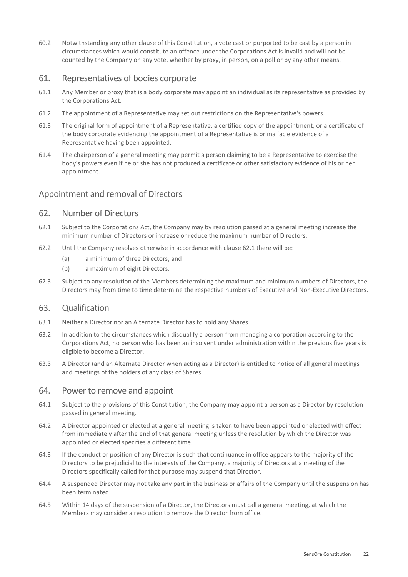60.2 Notwithstanding any other clause of this Constitution, a vote cast or purported to be cast by a person in circumstances which would constitute an offence under the Corporations Act is invalid and will not be counted by the Company on any vote, whether by proxy, in person, on a poll or by any other means.

## 61. Representatives of bodies corporate

- <span id="page-26-0"></span>61.1 Any Member or proxy that is a body corporate may appoint an individual as its representative as provided by the Corporations Act.
- 61.2 The appointment of a Representative may set out restrictions on the Representative's powers.
- 61.3 The original form of appointment of a Representative, a certified copy of the appointment, or a certificate of the body corporate evidencing the appointment of a Representative is prima facie evidence of a Representative having been appointed.
- 61.4 The chairperson of a general meeting may permit a person claiming to be a Representative to exercise the body's powers even if he or she has not produced a certificate or other satisfactory evidence of his or her appointment.

## <span id="page-26-3"></span>Appointment and removal of Directors

#### 62. Number of Directors

- <span id="page-26-2"></span>62.1 Subject to the Corporations Act, the Company may by resolution passed at a general meeting increase the minimum number of Directors or increase or reduce the maximum number of Directors.
- 62.2 Until the Company resolves otherwise in accordance with clause [62.1](#page-26-2) there will be:
	- (a) a minimum of three Directors; and
	- (b) a maximum of eight Directors.
- <span id="page-26-1"></span>62.3 Subject to any resolution of the Members determining the maximum and minimum numbers of Directors, the Directors may from time to time determine the respective numbers of Executive and Non-Executive Directors.

#### 63. Qualification

- 63.1 Neither a Director nor an Alternate Director has to hold any Shares.
- 63.2 In addition to the circumstances which disqualify a person from managing a corporation according to the Corporations Act, no person who has been an insolvent under administration within the previous five years is eligible to become a Director.
- 63.3 A Director (and an Alternate Director when acting as a Director) is entitled to notice of all general meetings and meetings of the holders of any class of Shares.

#### 64. Power to remove and appoint

- 64.1 Subject to the provisions of this Constitution, the Company may appoint a person as a Director by resolution passed in general meeting.
- 64.2 A Director appointed or elected at a general meeting is taken to have been appointed or elected with effect from immediately after the end of that general meeting unless the resolution by which the Director was appointed or elected specifies a different time.
- 64.3 If the conduct or position of any Director is such that continuance in office appears to the majority of the Directors to be prejudicial to the interests of the Company, a majority of Directors at a meeting of the Directors specifically called for that purpose may suspend that Director.
- 64.4 A suspended Director may not take any part in the business or affairs of the Company until the suspension has been terminated.
- 64.5 Within 14 days of the suspension of a Director, the Directors must call a general meeting, at which the Members may consider a resolution to remove the Director from office.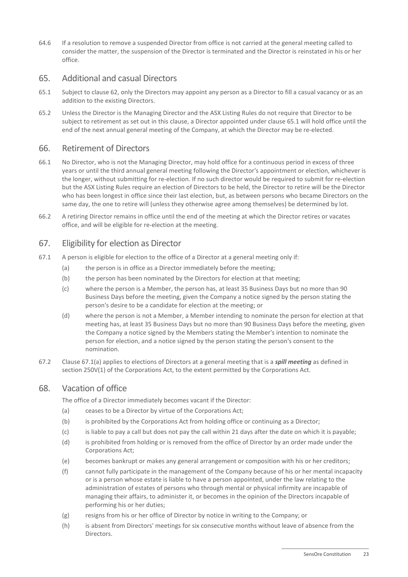64.6 If a resolution to remove a suspended Director from office is not carried at the general meeting called to consider the matter, the suspension of the Director is terminated and the Director is reinstated in his or her office.

## 65. Additional and casual Directors

- <span id="page-27-0"></span>65.1 Subject to clause [62,](#page-26-3) only the Directors may appoint any person as a Director to fill a casual vacancy or as an addition to the existing Directors.
- 65.2 Unless the Director is the Managing Director and the ASX Listing Rules do not require that Director to be subject to retirement as set out in this clause, a Director appointed under clause [65.1](#page-27-0) will hold office until the end of the next annual general meeting of the Company, at which the Director may be re-elected.

## <span id="page-27-2"></span>66. Retirement of Directors

- 66.1 No Director, who is not the Managing Director, may hold office for a continuous period in excess of three years or until the third annual general meeting following the Director's appointment or election, whichever is the longer, without submitting for re-election. If no such director would be required to submit for re-election but the ASX Listing Rules require an election of Directors to be held, the Director to retire will be the Director who has been longest in office since their last election, but, as between persons who became Directors on the same day, the one to retire will (unless they otherwise agree among themselves) be determined by lot.
- 66.2 A retiring Director remains in office until the end of the meeting at which the Director retires or vacates office, and will be eligible for re-election at the meeting.

## 67. Eligibility for election as Director

- <span id="page-27-1"></span>67.1 A person is eligible for election to the office of a Director at a general meeting only if:
	- (a) the person is in office as a Director immediately before the meeting;
	- (b) the person has been nominated by the Directors for election at that meeting;
	- (c) where the person is a Member, the person has, at least 35 Business Days but no more than 90 Business Days before the meeting, given the Company a notice signed by the person stating the person's desire to be a candidate for election at the meeting; or
	- (d) where the person is not a Member, a Member intending to nominate the person for election at that meeting has, at least 35 Business Days but no more than 90 Business Days before the meeting, given the Company a notice signed by the Members stating the Member's intention to nominate the person for election, and a notice signed by the person stating the person's consent to the nomination.
- 67.2 Claus[e 67.1\(a\)](#page-27-1) applies to elections of Directors at a general meeting that is a *spill meeting* as defined in section 250V(1) of the Corporations Act, to the extent permitted by the Corporations Act.

## 68. Vacation of office

The office of a Director immediately becomes vacant if the Director:

- (a) ceases to be a Director by virtue of the Corporations Act;
- (b) is prohibited by the Corporations Act from holding office or continuing as a Director;
- (c) is liable to pay a call but does not pay the call within 21 days after the date on which it is payable;
- (d) is prohibited from holding or is removed from the office of Director by an order made under the Corporations Act;
- (e) becomes bankrupt or makes any general arrangement or composition with his or her creditors;
- (f) cannot fully participate in the management of the Company because of his or her mental incapacity or is a person whose estate is liable to have a person appointed, under the law relating to the administration of estates of persons who through mental or physical infirmity are incapable of managing their affairs, to administer it, or becomes in the opinion of the Directors incapable of performing his or her duties;
- (g) resigns from his or her office of Director by notice in writing to the Company; or
- (h) is absent from Directors' meetings for six consecutive months without leave of absence from the Directors.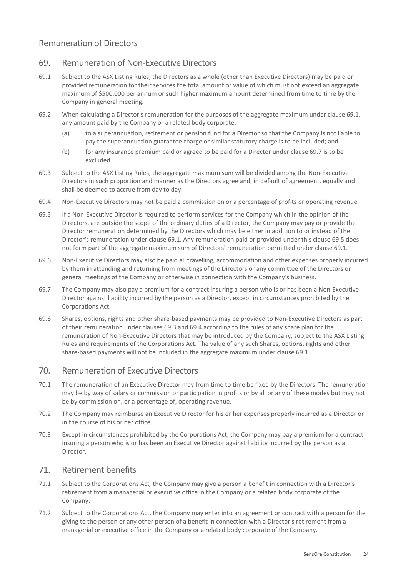## Remuneration of Directors

## 69. Remuneration of Non-Executive Directors

- <span id="page-28-0"></span>69.1 Subject to the ASX Listing Rules, the Directors as a whole (other than Executive Directors) may be paid or provided remuneration for their services the total amount or value of which must not exceed an aggregate maximum of \$500,000 per annum or such higher maximum amount determined from time to time by the Company in general meeting.
- 69.2 When calculating a Director's remuneration for the purposes of the aggregate maximum under clause [69.1,](#page-28-0) any amount paid by the Company or a related body corporate:
	- (a) to a superannuation, retirement or pension fund for a Director so that the Company is not liable to pay the superannuation guarantee charge or similar statutory charge is to be included; and
	- (b) for any insurance premium paid or agreed to be paid for a Director under clause [69.7](#page-28-1) is to be excluded.
- <span id="page-28-3"></span>69.3 Subject to the ASX Listing Rules, the aggregate maximum sum will be divided among the Non-Executive Directors in such proportion and manner as the Directors agree and, in default of agreement, equally and shall be deemed to accrue from day to day.
- <span id="page-28-4"></span>69.4 Non-Executive Directors may not be paid a commission on or a percentage of profits or operating revenue.
- <span id="page-28-2"></span>69.5 If a Non-Executive Director is required to perform services for the Company which in the opinion of the Directors, are outside the scope of the ordinary duties of a Director, the Company may pay or provide the Director remuneration determined by the Directors which may be either in addition to or instead of the Director's remuneration under clause [69.1.](#page-28-0) Any remuneration paid or provided under this clause [69.5](#page-28-2) does not form part of the aggregate maximum sum of Directors' remuneration permitted under clause [69.1.](#page-28-0)
- 69.6 Non-Executive Directors may also be paid all travelling, accommodation and other expenses properly incurred by them in attending and returning from meetings of the Directors or any committee of the Directors or general meetings of the Company or otherwise in connection with the Company's business.
- <span id="page-28-1"></span>69.7 The Company may also pay a premium for a contract insuring a person who is or has been a Non-Executive Director against liability incurred by the person as a Director, except in circumstances prohibited by the Corporations Act.
- 69.8 Shares, options, rights and other share-based payments may be provided to Non-Executive Directors as part of their remuneration under clauses [69.3](#page-28-3) and [69.4](#page-28-4) according to the rules of any share plan for the remuneration of Non-Executive Directors that may be introduced by the Company, subject to the ASX Listing Rules and requirements of the Corporations Act. The value of any such Shares, options, rights and other share-based payments will not be included in the aggregate maximum under clause [69.1.](#page-28-0)

#### 70. Remuneration of Executive Directors

- 70.1 The remuneration of an Executive Director may from time to time be fixed by the Directors. The remuneration may be by way of salary or commission or participation in profits or by all or any of these modes but may not be by commission on, or a percentage of, operating revenue.
- 70.2 The Company may reimburse an Executive Director for his or her expenses properly incurred as a Director or in the course of his or her office.
- 70.3 Except in circumstances prohibited by the Corporations Act, the Company may pay a premium for a contract insuring a person who is or has been an Executive Director against liability incurred by the person as a Director.

#### 71. Retirement benefits

- 71.1 Subject to the Corporations Act*,* the Company may give a person a benefit in connection with a Director's retirement from a managerial or executive office in the Company or a related body corporate of the Company.
- 71.2 Subject to the Corporations Act, the Company may enter into an agreement or contract with a person for the giving to the person or any other person of a benefit in connection with a Director's retirement from a managerial or executive office in the Company or a related body corporate of the Company.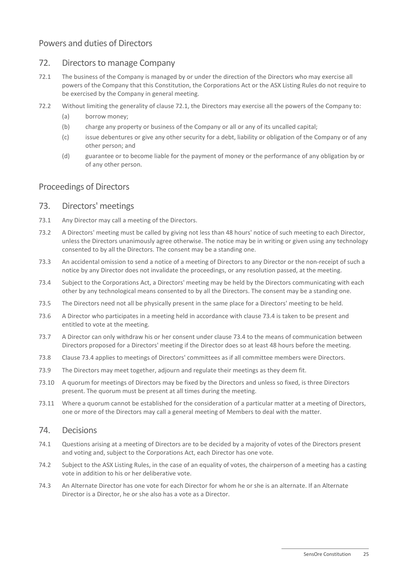## Powers and duties of Directors

## 72. Directors to manage Company

- <span id="page-29-0"></span>72.1 The business of the Company is managed by or under the direction of the Directors who may exercise all powers of the Company that this Constitution, the Corporations Act or the ASX Listing Rules do not require to be exercised by the Company in general meeting.
- 72.2 Without limiting the generality of clause [72.1,](#page-29-0) the Directors may exercise all the powers of the Company to:
	- (a) borrow money;
	- (b) charge any property or business of the Company or all or any of its uncalled capital;
	- (c) issue debentures or give any other security for a debt, liability or obligation of the Company or of any other person; and
	- (d) guarantee or to become liable for the payment of money or the performance of any obligation by or of any other person.

## Proceedings of Directors

#### 73. Directors' meetings

- 73.1 Any Director may call a meeting of the Directors.
- 73.2 A Directors' meeting must be called by giving not less than 48 hours' notice of such meeting to each Director, unless the Directors unanimously agree otherwise. The notice may be in writing or given using any technology consented to by all the Directors. The consent may be a standing one.
- 73.3 An accidental omission to send a notice of a meeting of Directors to any Director or the non-receipt of such a notice by any Director does not invalidate the proceedings, or any resolution passed, at the meeting.
- <span id="page-29-1"></span>73.4 Subject to the Corporations Act, a Directors' meeting may be held by the Directors communicating with each other by any technological means consented to by all the Directors. The consent may be a standing one.
- 73.5 The Directors need not all be physically present in the same place for a Directors' meeting to be held.
- 73.6 A Director who participates in a meeting held in accordance with clause [73.4](#page-29-1) is taken to be present and entitled to vote at the meeting.
- 73.7 A Director can only withdraw his or her consent under clause [73.4](#page-29-1) to the means of communication between Directors proposed for a Directors' meeting if the Director does so at least 48 hours before the meeting.
- 73.8 Clause [73.4](#page-29-1) applies to meetings of Directors' committees as if all committee members were Directors.
- 73.9 The Directors may meet together, adjourn and regulate their meetings as they deem fit.
- 73.10 A quorum for meetings of Directors may be fixed by the Directors and unless so fixed, is three Directors present. The quorum must be present at all times during the meeting.
- 73.11 Where a quorum cannot be established for the consideration of a particular matter at a meeting of Directors, one or more of the Directors may call a general meeting of Members to deal with the matter.

#### 74. Decisions

- 74.1 Questions arising at a meeting of Directors are to be decided by a majority of votes of the Directors present and voting and, subject to the Corporations Act, each Director has one vote.
- 74.2 Subject to the ASX Listing Rules, in the case of an equality of votes, the chairperson of a meeting has a casting vote in addition to his or her deliberative vote.
- 74.3 An Alternate Director has one vote for each Director for whom he or she is an alternate. If an Alternate Director is a Director, he or she also has a vote as a Director.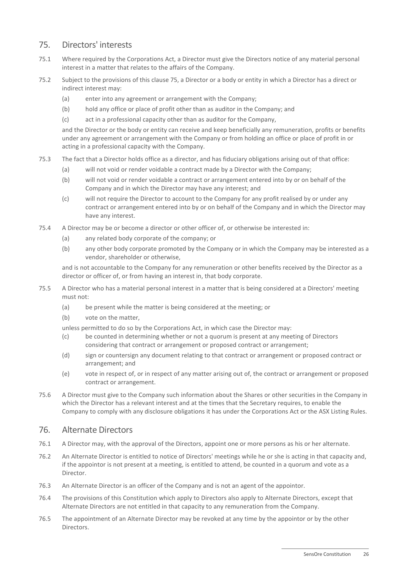## <span id="page-30-1"></span>75. Directors' interests

- 75.1 Where required by the Corporations Act, a Director must give the Directors notice of any material personal interest in a matter that relates to the affairs of the Company.
- 75.2 Subject to the provisions of this clause [75,](#page-30-1) a Director or a body or entity in which a Director has a direct or indirect interest may:
	- (a) enter into any agreement or arrangement with the Company;
	- (b) hold any office or place of profit other than as auditor in the Company; and
	- (c) act in a professional capacity other than as auditor for the Company,

and the Director or the body or entity can receive and keep beneficially any remuneration, profits or benefits under any agreement or arrangement with the Company or from holding an office or place of profit in or acting in a professional capacity with the Company.

- 75.3 The fact that a Director holds office as a director, and has fiduciary obligations arising out of that office:
	- (a) will not void or render voidable a contract made by a Director with the Company;
	- (b) will not void or render voidable a contract or arrangement entered into by or on behalf of the Company and in which the Director may have any interest; and
	- (c) will not require the Director to account to the Company for any profit realised by or under any contract or arrangement entered into by or on behalf of the Company and in which the Director may have any interest.
- 75.4 A Director may be or become a director or other officer of, or otherwise be interested in:
	- (a) any related body corporate of the company; or
	- (b) any other body corporate promoted by the Company or in which the Company may be interested as a vendor, shareholder or otherwise,

and is not accountable to the Company for any remuneration or other benefits received by the Director as a director or officer of, or from having an interest in, that body corporate.

- 75.5 A Director who has a material personal interest in a matter that is being considered at a Directors' meeting must not:
	- (a) be present while the matter is being considered at the meeting; or
	- (b) vote on the matter,

unless permitted to do so by the Corporations Act, in which case the Director may:

- (c) be counted in determining whether or not a quorum is present at any meeting of Directors considering that contract or arrangement or proposed contract or arrangement;
- (d) sign or countersign any document relating to that contract or arrangement or proposed contract or arrangement; and
- (e) vote in respect of, or in respect of any matter arising out of, the contract or arrangement or proposed contract or arrangement.
- 75.6 A Director must give to the Company such information about the Shares or other securities in the Company in which the Director has a relevant interest and at the times that the Secretary requires, to enable the Company to comply with any disclosure obligations it has under the Corporations Act or the ASX Listing Rules.

#### <span id="page-30-0"></span>76. Alternate Directors

- 76.1 A Director may, with the approval of the Directors, appoint one or more persons as his or her alternate.
- 76.2 An Alternate Director is entitled to notice of Directors' meetings while he or she is acting in that capacity and, if the appointor is not present at a meeting, is entitled to attend, be counted in a quorum and vote as a Director.
- 76.3 An Alternate Director is an officer of the Company and is not an agent of the appointor.
- 76.4 The provisions of this Constitution which apply to Directors also apply to Alternate Directors, except that Alternate Directors are not entitled in that capacity to any remuneration from the Company.
- 76.5 The appointment of an Alternate Director may be revoked at any time by the appointor or by the other Directors.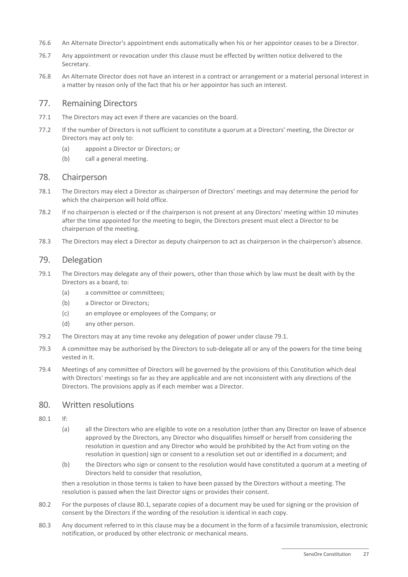- 76.6 An Alternate Director's appointment ends automatically when his or her appointor ceases to be a Director.
- 76.7 Any appointment or revocation under this clause must be effected by written notice delivered to the Secretary.
- 76.8 An Alternate Director does not have an interest in a contract or arrangement or a material personal interest in a matter by reason only of the fact that his or her appointor has such an interest.

## 77. Remaining Directors

- 77.1 The Directors may act even if there are vacancies on the board.
- 77.2 If the number of Directors is not sufficient to constitute a quorum at a Directors' meeting, the Director or Directors may act only to:
	- (a) appoint a Director or Directors; or
	- (b) call a general meeting.

#### 78. Chairperson

- 78.1 The Directors may elect a Director as chairperson of Directors' meetings and may determine the period for which the chairperson will hold office.
- 78.2 If no chairperson is elected or if the chairperson is not present at any Directors' meeting within 10 minutes after the time appointed for the meeting to begin, the Directors present must elect a Director to be chairperson of the meeting.
- 78.3 The Directors may elect a Director as deputy chairperson to act as chairperson in the chairperson's absence.

## 79. Delegation

- <span id="page-31-0"></span>79.1 The Directors may delegate any of their powers, other than those which by law must be dealt with by the Directors as a board, to:
	- (a) a committee or committees;
	- (b) a Director or Directors;
	- (c) an employee or employees of the Company; or
	- (d) any other person.
- 79.2 The Directors may at any time revoke any delegation of power under claus[e 79.1.](#page-31-0)
- 79.3 A committee may be authorised by the Directors to sub-delegate all or any of the powers for the time being vested in it.
- 79.4 Meetings of any committee of Directors will be governed by the provisions of this Constitution which deal with Directors' meetings so far as they are applicable and are not inconsistent with any directions of the Directors. The provisions apply as if each member was a Director.

#### <span id="page-31-2"></span>80. Written resolutions

- <span id="page-31-1"></span>80.1 If:
	- (a) all the Directors who are eligible to vote on a resolution (other than any Director on leave of absence approved by the Directors, any Director who disqualifies himself or herself from considering the resolution in question and any Director who would be prohibited by the Act from voting on the resolution in question) sign or consent to a resolution set out or identified in a document; and
	- (b) the Directors who sign or consent to the resolution would have constituted a quorum at a meeting of Directors held to consider that resolution,

then a resolution in those terms is taken to have been passed by the Directors without a meeting. The resolution is passed when the last Director signs or provides their consent.

- 80.2 For the purposes of clause [80.1,](#page-31-1) separate copies of a document may be used for signing or the provision of consent by the Directors if the wording of the resolution is identical in each copy.
- 80.3 Any document referred to in this clause may be a document in the form of a facsimile transmission, electronic notification, or produced by other electronic or mechanical means.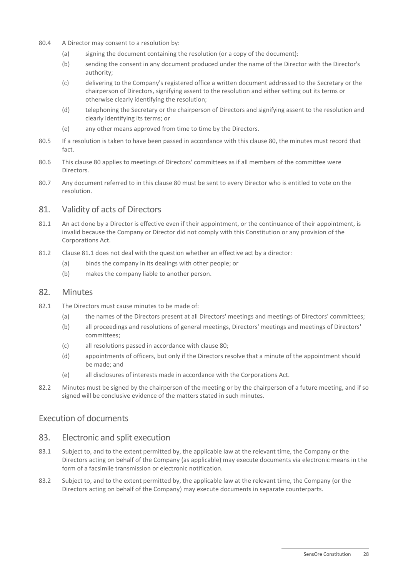- 80.4 A Director may consent to a resolution by:
	- (a) signing the document containing the resolution (or a copy of the document):
	- (b) sending the consent in any document produced under the name of the Director with the Director's authority;
	- (c) delivering to the Company's registered office a written document addressed to the Secretary or the chairperson of Directors, signifying assent to the resolution and either setting out its terms or otherwise clearly identifying the resolution;
	- (d) telephoning the Secretary or the chairperson of Directors and signifying assent to the resolution and clearly identifying its terms; or
	- (e) any other means approved from time to time by the Directors.
- 80.5 If a resolution is taken to have been passed in accordance with this clause [80,](#page-31-2) the minutes must record that fact.
- 80.6 This clause [80](#page-31-2) applies to meetings of Directors' committees as if all members of the committee were Directors.
- 80.7 Any document referred to in this clause [80](#page-31-2) must be sent to every Director who is entitled to vote on the resolution.

## 81. Validity of acts of Directors

- <span id="page-32-0"></span>81.1 An act done by a Director is effective even if their appointment, or the continuance of their appointment, is invalid because the Company or Director did not comply with this Constitution or any provision of the Corporations Act.
- 81.2 Clause [81.1](#page-32-0) does not deal with the question whether an effective act by a director:
	- (a) binds the company in its dealings with other people; or
	- (b) makes the company liable to another person.

## 82. Minutes

- 82.1 The Directors must cause minutes to be made of:
	- (a) the names of the Directors present at all Directors' meetings and meetings of Directors' committees;
	- (b) all proceedings and resolutions of general meetings, Directors' meetings and meetings of Directors' committees;
	- (c) all resolutions passed in accordance with clause [80;](#page-31-2)
	- (d) appointments of officers, but only if the Directors resolve that a minute of the appointment should be made; and
	- (e) all disclosures of interests made in accordance with the Corporations Act.
- 82.2 Minutes must be signed by the chairperson of the meeting or by the chairperson of a future meeting, and if so signed will be conclusive evidence of the matters stated in such minutes.

## Execution of documents

#### 83. Electronic and split execution

- 83.1 Subject to, and to the extent permitted by, the applicable law at the relevant time, the Company or the Directors acting on behalf of the Company (as applicable) may execute documents via electronic means in the form of a facsimile transmission or electronic notification.
- 83.2 Subject to, and to the extent permitted by, the applicable law at the relevant time, the Company (or the Directors acting on behalf of the Company) may execute documents in separate counterparts.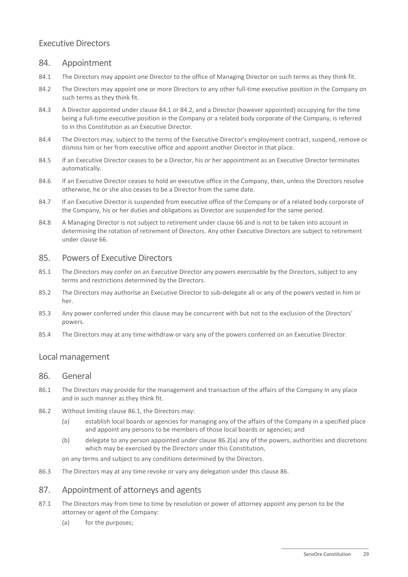## Executive Directors

## 84. Appointment

- <span id="page-33-1"></span>84.1 The Directors may appoint one Director to the office of Managing Director on such terms as they think fit.
- <span id="page-33-2"></span>84.2 The Directors may appoint one or more Directors to any other full-time executive position in the Company on such terms as they think fit.
- <span id="page-33-0"></span>84.3 A Director appointed under clause [84.1](#page-33-1) or [84.2,](#page-33-2) and a Director (however appointed) occupying for the time being a full-time executive position in the Company or a related body corporate of the Company, is referred to in this Constitution as an Executive Director.
- 84.4 The Directors may, subject to the terms of the Executive Director's employment contract, suspend, remove or dismiss him or her from executive office and appoint another Director in that place.
- 84.5 If an Executive Director ceases to be a Director, his or her appointment as an Executive Director terminates automatically.
- 84.6 If an Executive Director ceases to hold an executive office in the Company, then, unless the Directors resolve otherwise, he or she also ceases to be a Director from the same date.
- 84.7 If an Executive Director is suspended from executive office of the Company or of a related body corporate of the Company, his or her duties and obligations as Director are suspended for the same period.
- 84.8 A Managing Director is not subject to retirement under claus[e 66](#page-27-2) and is not to be taken into account in determining the rotation of retirement of Directors. Any other Executive Directors are subject to retirement under clause [66.](#page-27-2)

## 85. Powers of Executive Directors

- 85.1 The Directors may confer on an Executive Director any powers exercisable by the Directors, subject to any terms and restrictions determined by the Directors.
- 85.2 The Directors may authorise an Executive Director to sub-delegate all or any of the powers vested in him or her.
- 85.3 Any power conferred under this clause may be concurrent with but not to the exclusion of the Directors' powers.
- 85.4 The Directors may at any time withdraw or vary any of the powers conferred on an Executive Director.

## <span id="page-33-5"></span>Local management

#### 86. General

- <span id="page-33-3"></span>86.1 The Directors may provide for the management and transaction of the affairs of the Company in any place and in such manner as they think fit.
- <span id="page-33-4"></span>86.2 Without limiting clause [86.1,](#page-33-3) the Directors may:
	- (a) establish local boards or agencies for managing any of the affairs of the Company in a specified place and appoint any persons to be members of those local boards or agencies; and
	- (b) delegate to any person appointed under clause [86.2\(a\)](#page-33-4) any of the powers, authorities and discretions which may be exercised by the Directors under this Constitution,

on any terms and subject to any conditions determined by the Directors.

86.3 The Directors may at any time revoke or vary any delegation under this clause [86.](#page-33-5)

## <span id="page-33-6"></span>87. Appointment of attorneys and agents

- 87.1 The Directors may from time to time by resolution or power of attorney appoint any person to be the attorney or agent of the Company:
	- (a) for the purposes;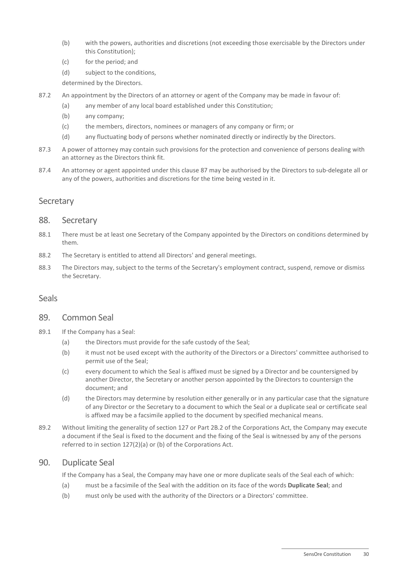- (b) with the powers, authorities and discretions (not exceeding those exercisable by the Directors under this Constitution);
- (c) for the period; and
- (d) subject to the conditions,

determined by the Directors.

- 87.2 An appointment by the Directors of an attorney or agent of the Company may be made in favour of:
	- (a) any member of any local board established under this Constitution;
	- (b) any company;
	- (c) the members, directors, nominees or managers of any company or firm; or
	- (d) any fluctuating body of persons whether nominated directly or indirectly by the Directors.
- 87.3 A power of attorney may contain such provisions for the protection and convenience of persons dealing with an attorney as the Directors think fit.
- 87.4 An attorney or agent appointed under this clause [87](#page-33-6) may be authorised by the Directors to sub-delegate all or any of the powers, authorities and discretions for the time being vested in it.

## **Secretary**

#### 88. Secretary

- 88.1 There must be at least one Secretary of the Company appointed by the Directors on conditions determined by them.
- 88.2 The Secretary is entitled to attend all Directors' and general meetings.
- 88.3 The Directors may, subject to the terms of the Secretary's employment contract, suspend, remove or dismiss the Secretary.

#### Seals

#### 89. Common Seal

- 89.1 If the Company has a Seal:
	- (a) the Directors must provide for the safe custody of the Seal;
	- (b) it must not be used except with the authority of the Directors or a Directors' committee authorised to permit use of the Seal;
	- (c) every document to which the Seal is affixed must be signed by a Director and be countersigned by another Director, the Secretary or another person appointed by the Directors to countersign the document; and
	- (d) the Directors may determine by resolution either generally or in any particular case that the signature of any Director or the Secretary to a document to which the Seal or a duplicate seal or certificate seal is affixed may be a facsimile applied to the document by specified mechanical means.
- 89.2 Without limiting the generality of section 127 or Part 2B.2 of the Corporations Act, the Company may execute a document if the Seal is fixed to the document and the fixing of the Seal is witnessed by any of the persons referred to in section 127(2)(a) or (b) of the Corporations Act.

#### 90. Duplicate Seal

If the Company has a Seal, the Company may have one or more duplicate seals of the Seal each of which:

- (a) must be a facsimile of the Seal with the addition on its face of the words **Duplicate Seal**; and
- (b) must only be used with the authority of the Directors or a Directors' committee.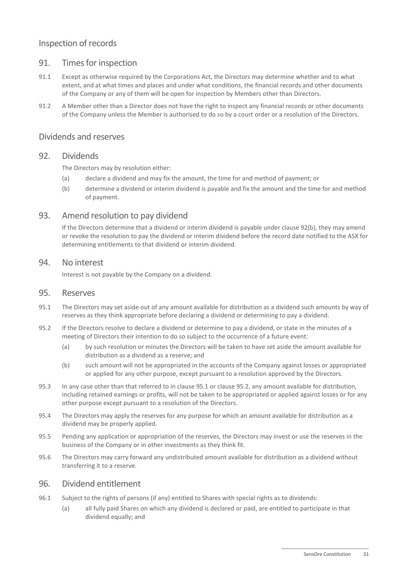## Inspection of records

#### 91. Times for inspection

- 91.1 Except as otherwise required by the Corporations Act, the Directors may determine whether and to what extent, and at what times and places and under what conditions, the financial records and other documents of the Company or any of them will be open for inspection by Members other than Directors.
- 91.2 A Member other than a Director does not have the right to inspect any financial records or other documents of the Company unless the Member is authorised to do so by a court order or a resolution of the Directors.

#### Dividends and reserves

#### 92. Dividends

The Directors may by resolution either:

- (a) declare a dividend and may fix the amount, the time for and method of payment; or
- <span id="page-35-0"></span>(b) determine a dividend or interim dividend is payable and fix the amount and the time for and method of payment.

#### 93. Amend resolution to pay dividend

If the Directors determine that a dividend or interim dividend is payable under clause [92\(b\),](#page-35-0) they may amend or revoke the resolution to pay the dividend or interim dividend before the record date notified to the ASX for determining entitlements to that dividend or interim dividend.

#### 94. No interest

Interest is not payable by the Company on a dividend.

#### 95. Reserves

- <span id="page-35-1"></span>95.1 The Directors may set aside out of any amount available for distribution as a dividend such amounts by way of reserves as they think appropriate before declaring a dividend or determining to pay a dividend.
- <span id="page-35-2"></span>95.2 If the Directors resolve to declare a dividend or determine to pay a dividend, or state in the minutes of a meeting of Directors their intention to do so subject to the occurrence of a future event:
	- (a) by such resolution or minutes the Directors will be taken to have set aside the amount available for distribution as a dividend as a reserve; and
	- (b) such amount will not be appropriated in the accounts of the Company against losses or appropriated or applied for any other purpose, except pursuant to a resolution approved by the Directors.
- 95.3 In any case other than that referred to in claus[e 95.1](#page-35-1) or claus[e 95.2,](#page-35-2) any amount available for distribution, including retained earnings or profits, will not be taken to be appropriated or applied against losses or for any other purpose except pursuant to a resolution of the Directors.
- 95.4 The Directors may apply the reserves for any purpose for which an amount available for distribution as a dividend may be properly applied.
- 95.5 Pending any application or appropriation of the reserves, the Directors may invest or use the reserves in the business of the Company or in other investments as they think fit.
- 95.6 The Directors may carry forward any undistributed amount available for distribution as a dividend without transferring it to a reserve.

#### 96. Dividend entitlement

- <span id="page-35-3"></span>96.1 Subject to the rights of persons (if any) entitled to Shares with special rights as to dividends:
	- (a) all fully paid Shares on which any dividend is declared or paid, are entitled to participate in that dividend equally; and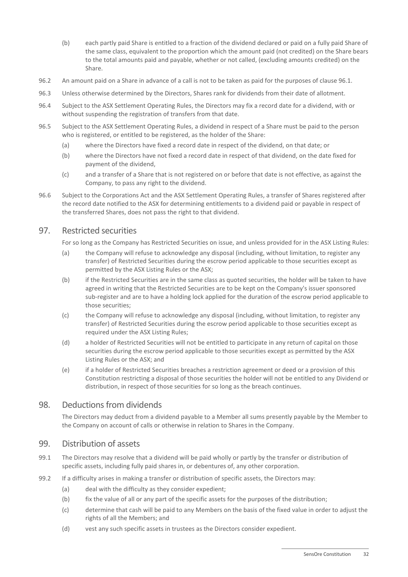- (b) each partly paid Share is entitled to a fraction of the dividend declared or paid on a fully paid Share of the same class, equivalent to the proportion which the amount paid (not credited) on the Share bears to the total amounts paid and payable, whether or not called, (excluding amounts credited) on the Share.
- 96.2 An amount paid on a Share in advance of a call is not to be taken as paid for the purposes of clause [96.1.](#page-35-3)
- 96.3 Unless otherwise determined by the Directors, Shares rank for dividends from their date of allotment.
- 96.4 Subject to the ASX Settlement Operating Rules, the Directors may fix a record date for a dividend, with or without suspending the registration of transfers from that date.
- 96.5 Subject to the ASX Settlement Operating Rules, a dividend in respect of a Share must be paid to the person who is registered, or entitled to be registered, as the holder of the Share:
	- (a) where the Directors have fixed a record date in respect of the dividend, on that date; or
	- (b) where the Directors have not fixed a record date in respect of that dividend, on the date fixed for payment of the dividend,
	- (c) and a transfer of a Share that is not registered on or before that date is not effective, as against the Company, to pass any right to the dividend.
- 96.6 Subject to the Corporations Act and the ASX Settlement Operating Rules, a transfer of Shares registered after the record date notified to the ASX for determining entitlements to a dividend paid or payable in respect of the transferred Shares, does not pass the right to that dividend.

## <span id="page-36-0"></span>97. Restricted securities

For so long as the Company has Restricted Securities on issue, and unless provided for in the ASX Listing Rules:

- (a) the Company will refuse to acknowledge any disposal (including, without limitation, to register any transfer) of Restricted Securities during the escrow period applicable to those securities except as permitted by the ASX Listing Rules or the ASX;
- (b) if the Restricted Securities are in the same class as quoted securities, the holder will be taken to have agreed in writing that the Restricted Securities are to be kept on the Company's issuer sponsored sub-register and are to have a holding lock applied for the duration of the escrow period applicable to those securities;
- (c) the Company will refuse to acknowledge any disposal (including, without limitation, to register any transfer) of Restricted Securities during the escrow period applicable to those securities except as required under the ASX Listing Rules;
- (d) a holder of Restricted Securities will not be entitled to participate in any return of capital on those securities during the escrow period applicable to those securities except as permitted by the ASX Listing Rules or the ASX; and
- (e) if a holder of Restricted Securities breaches a restriction agreement or deed or a provision of this Constitution restricting a disposal of those securities the holder will not be entitled to any Dividend or distribution, in respect of those securities for so long as the breach continues.

## 98. Deductions from dividends

The Directors may deduct from a dividend payable to a Member all sums presently payable by the Member to the Company on account of calls or otherwise in relation to Shares in the Company.

#### 99. Distribution of assets

- 99.1 The Directors may resolve that a dividend will be paid wholly or partly by the transfer or distribution of specific assets, including fully paid shares in, or debentures of, any other corporation.
- 99.2 If a difficulty arises in making a transfer or distribution of specific assets, the Directors may:
	- (a) deal with the difficulty as they consider expedient;
	- (b) fix the value of all or any part of the specific assets for the purposes of the distribution;
	- (c) determine that cash will be paid to any Members on the basis of the fixed value in order to adjust the rights of all the Members; and
	- (d) vest any such specific assets in trustees as the Directors consider expedient.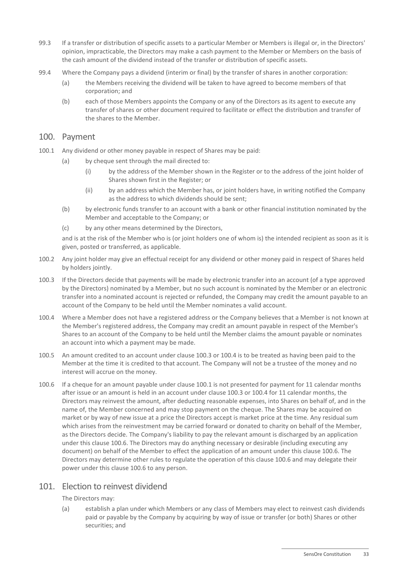- 99.3 If a transfer or distribution of specific assets to a particular Member or Members is illegal or, in the Directors' opinion, impracticable, the Directors may make a cash payment to the Member or Members on the basis of the cash amount of the dividend instead of the transfer or distribution of specific assets.
- 99.4 Where the Company pays a dividend (interim or final) by the transfer of shares in another corporation:
	- (a) the Members receiving the dividend will be taken to have agreed to become members of that corporation; and
	- (b) each of those Members appoints the Company or any of the Directors as its agent to execute any transfer of shares or other document required to facilitate or effect the distribution and transfer of the shares to the Member.

#### 100. Payment

- <span id="page-37-3"></span><span id="page-37-0"></span>100.1 Any dividend or other money payable in respect of Shares may be paid:
	- (a) by cheque sent through the mail directed to:
		- (i) by the address of the Member shown in the Register or to the address of the joint holder of Shares shown first in the Register; or
		- (ii) by an address which the Member has, or joint holders have, in writing notified the Company as the address to which dividends should be sent;
	- (b) by electronic funds transfer to an account with a bank or other financial institution nominated by the Member and acceptable to the Company; or
	- (c) by any other means determined by the Directors,

and is at the risk of the Member who is (or joint holders one of whom is) the intended recipient as soon as it is given, posted or transferred, as applicable.

- 100.2 Any joint holder may give an effectual receipt for any dividend or other money paid in respect of Shares held by holders jointly.
- <span id="page-37-1"></span>100.3 If the Directors decide that payments will be made by electronic transfer into an account (of a type approved by the Directors) nominated by a Member, but no such account is nominated by the Member or an electronic transfer into a nominated account is rejected or refunded, the Company may credit the amount payable to an account of the Company to be held until the Member nominates a valid account.
- <span id="page-37-2"></span>100.4 Where a Member does not have a registered address or the Company believes that a Member is not known at the Member's registered address, the Company may credit an amount payable in respect of the Member's Shares to an account of the Company to be held until the Member claims the amount payable or nominates an account into which a payment may be made.
- 100.5 An amount credited to an account under claus[e 100.3](#page-37-1) o[r 100.4](#page-37-2) is to be treated as having been paid to the Member at the time it is credited to that account. The Company will not be a trustee of the money and no interest will accrue on the money.
- <span id="page-37-4"></span>100.6 If a cheque for an amount payable under claus[e 100.1](#page-37-3) is not presented for payment for 11 calendar months after issue or an amount is held in an account under clause [100.3](#page-37-1) or [100.4](#page-37-2) for 11 calendar months, the Directors may reinvest the amount, after deducting reasonable expenses, into Shares on behalf of, and in the name of, the Member concerned and may stop payment on the cheque. The Shares may be acquired on market or by way of new issue at a price the Directors accept is market price at the time. Any residual sum which arises from the reinvestment may be carried forward or donated to charity on behalf of the Member, as the Directors decide. The Company's liability to pay the relevant amount is discharged by an application under this clause [100.6.](#page-37-4) The Directors may do anything necessary or desirable (including executing any document) on behalf of the Member to effect the application of an amount under this claus[e 100.6.](#page-37-4) The Directors may determine other rules to regulate the operation of this claus[e 100.6](#page-37-4) and may delegate their power under this claus[e 100.6](#page-37-4) to any person.

## <span id="page-37-5"></span>101. Election to reinvest dividend

The Directors may:

(a) establish a plan under which Members or any class of Members may elect to reinvest cash dividends paid or payable by the Company by acquiring by way of issue or transfer (or both) Shares or other securities; and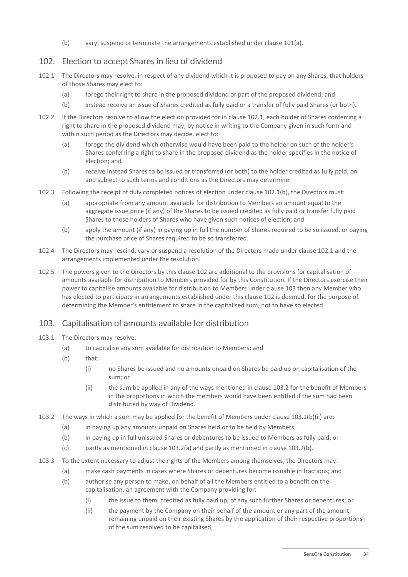(b) vary, suspend or terminate the arrangements established under clause [101\(a\).](#page-37-5)

## <span id="page-38-3"></span>102. Election to accept Shares in lieu of dividend

- <span id="page-38-1"></span>102.1 The Directors may resolve, in respect of any dividend which it is proposed to pay on any Shares, that holders of those Shares may elect to:
	- (a) forego their right to share in the proposed dividend or part of the proposed dividend; and
	- (b) instead receive an issue of Shares credited as fully paid or a transfer of fully paid Shares (or both).
- <span id="page-38-2"></span>102.2 If the Directors resolve to allow the election provided for in clause [102.1,](#page-38-1) each holder of Shares conferring a right to share in the proposed dividend may, by notice in writing to the Company given in such form and within such period as the Directors may decide, elect to:
	- (a) forego the dividend which otherwise would have been paid to the holder on such of the holder's Shares conferring a right to share in the proposed dividend as the holder specifies in the notice of election; and
	- (b) receive instead Shares to be issued or transferred (or both) to the holder credited as fully paid, on and subject to such terms and conditions as the Directors may determine.
- 102.3 Following the receipt of duly completed notices of election under clause [102.1\(b\),](#page-38-2) the Directors must:
	- (a) appropriate from any amount available for distribution to Members an amount equal to the aggregate issue price (if any) of the Shares to be issued credited as fully paid or transfer fully paid Shares to those holders of Shares who have given such notices of election; and
	- (b) apply the amount (if any) in paying up in full the number of Shares required to be so issued, or paying the purchase price of Shares required to be so transferred.
- 102.4 The Directors may rescind, vary or suspend a resolution of the Directors made under clause [102.1](#page-38-1) and the arrangements implemented under the resolution.
- 102.5 The powers given to the Directors by this clause [102](#page-38-3) are additional to the provisions for capitalisation of amounts available for distribution to Members provided for by this Constitution. If the Directors exercise their power to capitalise amounts available for distribution to Members under clause [103](#page-38-0) then any Member who has elected to participate in arrangements established under this clause [102](#page-38-3) is deemed, for the purpose of determining the Member's entitlement to share in the capitalised sum, not to have so elected.

## <span id="page-38-0"></span>103. Capitalisation of amounts available for distribution

- 103.1 The Directors may resolve:
	- (a) to capitalise any sum available for distribution to Members; and
	- (b) that:
		- (i) no Shares be issued and no amounts unpaid on Shares be paid up on capitalisation of the sum; or
		- (ii) the sum be applied in any of the ways mentioned in clause [103.2](#page-38-4) for the benefit of Members in the proportions in which the members would have been entitled if the sum had been distributed by way of Dividend.
- <span id="page-38-7"></span><span id="page-38-6"></span><span id="page-38-5"></span><span id="page-38-4"></span>103.2 The ways in which a sum may be applied for the benefit of Members under clause [103.1\(b\)\(ii\)](#page-38-5) are:
	- (a) in paying up any amounts unpaid on Shares held or to be held by Members;
	- (b) in paying up in full unissued Shares or debentures to be issued to Members as fully paid; or
	- (c) partly as mentioned in clause [103.2\(a\)](#page-38-6) and partly as mentioned in clause [103.2\(b\).](#page-38-7)
- <span id="page-38-8"></span>103.3 To the extent necessary to adjust the rights of the Members among themselves, the Directors may:
	- (a) make cash payments in cases where Shares or debentures become issuable in fractions; and
	- (b) authorise any person to make, on behalf of all the Members entitled to a benefit on the capitalisation, an agreement with the Company providing for:
		- (i) the issue to them, credited as fully paid up, of any such further Shares or debentures; or
		- (ii) the payment by the Company on their behalf of the amount or any part of the amount remaining unpaid on their existing Shares by the application of their respective proportions of the sum resolved to be capitalised,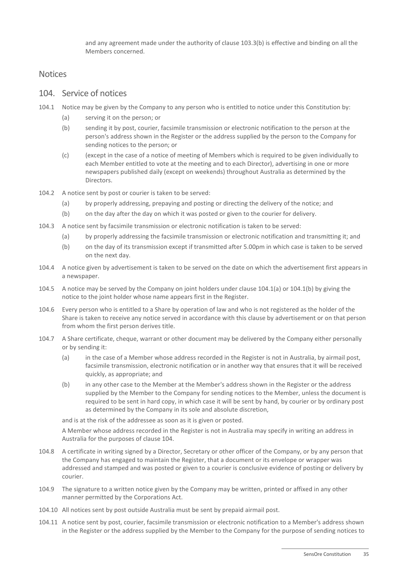and any agreement made under the authority of clause [103.3\(b\)](#page-38-8) is effective and binding on all the Members concerned.

#### <span id="page-39-2"></span>**Notices**

## 104. Service of notices

- <span id="page-39-1"></span><span id="page-39-0"></span>104.1 Notice may be given by the Company to any person who is entitled to notice under this Constitution by:
	- (a) serving it on the person; or
	- (b) sending it by post, courier, facsimile transmission or electronic notification to the person at the person's address shown in the Register or the address supplied by the person to the Company for sending notices to the person; or
	- (c) (except in the case of a notice of meeting of Members which is required to be given individually to each Member entitled to vote at the meeting and to each Director), advertising in one or more newspapers published daily (except on weekends) throughout Australia as determined by the Directors.
- 104.2 A notice sent by post or courier is taken to be served:
	- (a) by properly addressing, prepaying and posting or directing the delivery of the notice; and
	- (b) on the day after the day on which it was posted or given to the courier for delivery.
- 104.3 A notice sent by facsimile transmission or electronic notification is taken to be served:
	- (a) by properly addressing the facsimile transmission or electronic notification and transmitting it; and
	- (b) on the day of its transmission except if transmitted after 5.00pm in which case is taken to be served on the next day.
- 104.4 A notice given by advertisement is taken to be served on the date on which the advertisement first appears in a newspaper.
- 104.5 A notice may be served by the Company on joint holders under clause [104.1\(a\)](#page-39-0) or [104.1\(b\)](#page-39-1) by giving the notice to the joint holder whose name appears first in the Register.
- 104.6 Every person who is entitled to a Share by operation of law and who is not registered as the holder of the Share is taken to receive any notice served in accordance with this clause by advertisement or on that person from whom the first person derives title.
- 104.7 A Share certificate, cheque, warrant or other document may be delivered by the Company either personally or by sending it:
	- (a) in the case of a Member whose address recorded in the Register is not in Australia, by airmail post, facsimile transmission, electronic notification or in another way that ensures that it will be received quickly, as appropriate; and
	- (b) in any other case to the Member at the Member's address shown in the Register or the address supplied by the Member to the Company for sending notices to the Member, unless the document is required to be sent in hard copy, in which case it will be sent by hand, by courier or by ordinary post as determined by the Company in its sole and absolute discretion,

and is at the risk of the addressee as soon as it is given or posted.

A Member whose address recorded in the Register is not in Australia may specify in writing an address in Australia for the purposes of clause [104.](#page-39-2)

- 104.8 A certificate in writing signed by a Director, Secretary or other officer of the Company, or by any person that the Company has engaged to maintain the Register, that a document or its envelope or wrapper was addressed and stamped and was posted or given to a courier is conclusive evidence of posting or delivery by courier.
- 104.9 The signature to a written notice given by the Company may be written, printed or affixed in any other manner permitted by the Corporations Act.
- 104.10 All notices sent by post outside Australia must be sent by prepaid airmail post.
- 104.11 A notice sent by post, courier, facsimile transmission or electronic notification to a Member's address shown in the Register or the address supplied by the Member to the Company for the purpose of sending notices to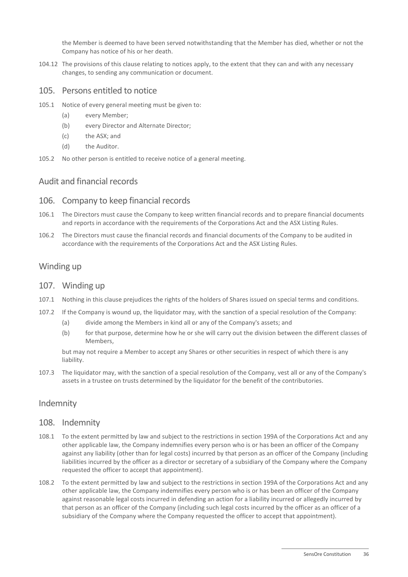the Member is deemed to have been served notwithstanding that the Member has died, whether or not the Company has notice of his or her death.

104.12 The provisions of this clause relating to notices apply, to the extent that they can and with any necessary changes, to sending any communication or document.

#### 105. Persons entitled to notice

- <span id="page-40-0"></span>105.1 Notice of every general meeting must be given to:
	- (a) every Member;
	- (b) every Director and Alternate Director;
	- (c) the ASX; and
	- (d) the Auditor.
- 105.2 No other person is entitled to receive notice of a general meeting.

## Audit and financial records

#### 106. Company to keep financial records

- 106.1 The Directors must cause the Company to keep written financial records and to prepare financial documents and reports in accordance with the requirements of the Corporations Act and the ASX Listing Rules.
- 106.2 The Directors must cause the financial records and financial documents of the Company to be audited in accordance with the requirements of the Corporations Act and the ASX Listing Rules.

## Winding up

#### 107. Winding up

- 107.1 Nothing in this clause prejudices the rights of the holders of Shares issued on special terms and conditions.
- 107.2 If the Company is wound up, the liquidator may, with the sanction of a special resolution of the Company:
	- (a) divide among the Members in kind all or any of the Company's assets; and
	- (b) for that purpose, determine how he or she will carry out the division between the different classes of Members,

but may not require a Member to accept any Shares or other securities in respect of which there is any liability.

107.3 The liquidator may, with the sanction of a special resolution of the Company, vest all or any of the Company's assets in a trustee on trusts determined by the liquidator for the benefit of the contributories.

## <span id="page-40-3"></span>Indemnity

#### 108. Indemnity

- <span id="page-40-1"></span>108.1 To the extent permitted by law and subject to the restrictions in section 199A of the Corporations Act and any other applicable law, the Company indemnifies every person who is or has been an officer of the Company against any liability (other than for legal costs) incurred by that person as an officer of the Company (including liabilities incurred by the officer as a director or secretary of a subsidiary of the Company where the Company requested the officer to accept that appointment).
- <span id="page-40-2"></span>108.2 To the extent permitted by law and subject to the restrictions in section 199A of the Corporations Act and any other applicable law, the Company indemnifies every person who is or has been an officer of the Company against reasonable legal costs incurred in defending an action for a liability incurred or allegedly incurred by that person as an officer of the Company (including such legal costs incurred by the officer as an officer of a subsidiary of the Company where the Company requested the officer to accept that appointment).